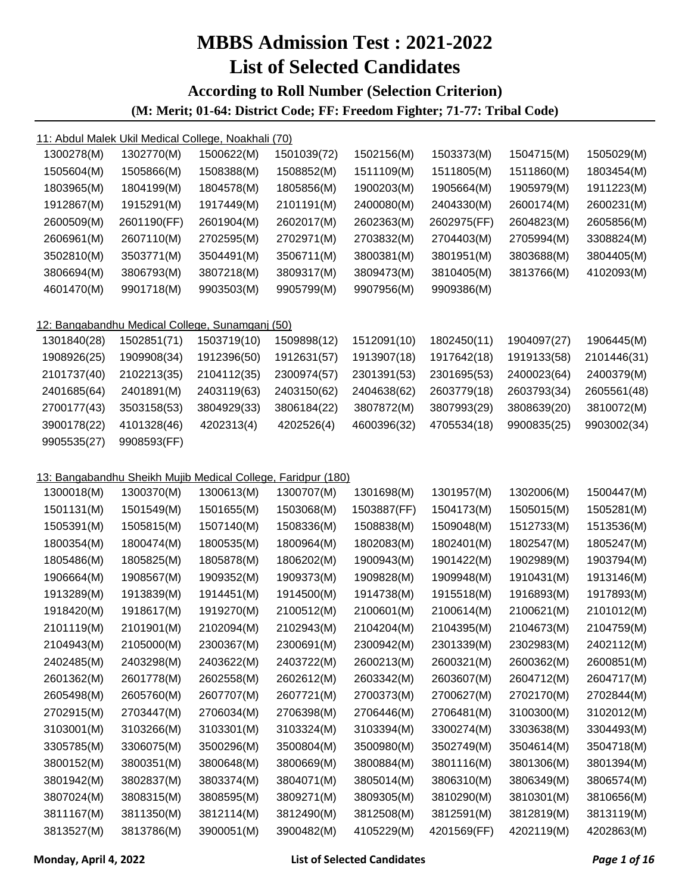#### **According to Roll Number (Selection Criterion) (M: Merit; 01-64: District Code; FF: Freedom Fighter; 71-77: Tribal Code)**

| 1300278(M)  | 1302770(M)                                                   | 1500622(M)  | 1501039(72) | 1502156(M)  | 1503373(M)  | 1504715(M)  | 1505029(M)  |
|-------------|--------------------------------------------------------------|-------------|-------------|-------------|-------------|-------------|-------------|
| 1505604(M)  | 1505866(M)                                                   | 1508388(M)  | 1508852(M)  | 1511109(M)  | 1511805(M)  | 1511860(M)  | 1803454(M)  |
| 1803965(M)  | 1804199(M)                                                   | 1804578(M)  | 1805856(M)  | 1900203(M)  | 1905664(M)  | 1905979(M)  | 1911223(M)  |
| 1912867(M)  | 1915291(M)                                                   | 1917449(M)  | 2101191(M)  | 2400080(M)  | 2404330(M)  | 2600174(M)  | 2600231(M)  |
| 2600509(M)  | 2601190(FF)                                                  | 2601904(M)  | 2602017(M)  | 2602363(M)  | 2602975(FF) | 2604823(M)  | 2605856(M)  |
| 2606961(M)  | 2607110(M)                                                   | 2702595(M)  | 2702971(M)  | 2703832(M)  | 2704403(M)  | 2705994(M)  | 3308824(M)  |
| 3502810(M)  | 3503771(M)                                                   | 3504491(M)  | 3506711(M)  | 3800381(M)  | 3801951(M)  | 3803688(M)  | 3804405(M)  |
| 3806694(M)  | 3806793(M)                                                   | 3807218(M)  | 3809317(M)  | 3809473(M)  | 3810405(M)  | 3813766(M)  | 4102093(M)  |
| 4601470(M)  | 9901718(M)                                                   | 9903503(M)  | 9905799(M)  | 9907956(M)  | 9909386(M)  |             |             |
|             | 12: Bangabandhu Medical College, Sunamganj (50)              |             |             |             |             |             |             |
| 1301840(28) | 1502851(71)                                                  | 1503719(10) | 1509898(12) | 1512091(10) | 1802450(11) | 1904097(27) | 1906445(M)  |
| 1908926(25) | 1909908(34)                                                  | 1912396(50) | 1912631(57) | 1913907(18) | 1917642(18) | 1919133(58) | 2101446(31) |
| 2101737(40) | 2102213(35)                                                  | 2104112(35) | 2300974(57) | 2301391(53) | 2301695(53) | 2400023(64) | 2400379(M)  |
| 2401685(64) | 2401891(M)                                                   | 2403119(63) | 2403150(62) | 2404638(62) | 2603779(18) | 2603793(34) | 2605561(48) |
| 2700177(43) | 3503158(53)                                                  | 3804929(33) | 3806184(22) | 3807872(M)  | 3807993(29) | 3808639(20) | 3810072(M)  |
| 3900178(22) | 4101328(46)                                                  | 4202313(4)  | 4202526(4)  | 4600396(32) | 4705534(18) | 9900835(25) | 9903002(34) |
| 9905535(27) | 9908593(FF)                                                  |             |             |             |             |             |             |
|             | 13: Bangabandhu Sheikh Mujib Medical College, Faridpur (180) |             |             |             |             |             |             |
| 1300018(M)  | 1300370(M)                                                   | 1300613(M)  | 1300707(M)  | 1301698(M)  | 1301957(M)  | 1302006(M)  | 1500447(M)  |
| 1501131(M)  | 1501549(M)                                                   | 1501655(M)  | 1503068(M)  | 1503887(FF) | 1504173(M)  | 1505015(M)  | 1505281(M)  |
| 1505391(M)  | 1505815(M)                                                   | 1507140(M)  | 1508336(M)  | 1508838(M)  | 1509048(M)  | 1512733(M)  | 1513536(M)  |
| 1800354(M)  | 1800474(M)                                                   | 1800535(M)  | 1800964(M)  | 1802083(M)  | 1802401(M)  | 1802547(M)  | 1805247(M)  |
| 1805486(M)  | 1805825(M)                                                   | 1805878(M)  | 1806202(M)  | 1900943(M)  | 1901422(M)  | 1902989(M)  | 1903794(M)  |
| 1906664(M)  | 1908567(M)                                                   | 1909352(M)  | 1909373(M)  | 1909828(M)  | 1909948(M)  | 1910431(M)  | 1913146(M)  |
| 1913289(M)  | 1913839(M)                                                   | 1914451(M)  | 1914500(M)  | 1914738(M)  | 1915518(M)  | 1916893(M)  | 1917893(M)  |
| 1918420(M)  | 1918617(M)                                                   | 1919270(M)  | 2100512(M)  | 2100601(M)  | 2100614(M)  | 2100621(M)  | 2101012(M)  |
| 2101119(M)  | 2101901(M)                                                   | 2102094(M)  | 2102943(M)  | 2104204(M)  | 2104395(M)  | 2104673(M)  | 2104759(M)  |
| 2104943(M)  | 2105000(M)                                                   | 2300367(M)  | 2300691(M)  | 2300942(M)  | 2301339(M)  | 2302983(M)  | 2402112(M)  |
| 2402485(M)  | 2403298(M)                                                   | 2403622(M)  | 2403722(M)  | 2600213(M)  | 2600321(M)  | 2600362(M)  | 2600851(M)  |
| 2601362(M)  | 2601778(M)                                                   | 2602558(M)  | 2602612(M)  | 2603342(M)  | 2603607(M)  | 2604712(M)  | 2604717(M)  |
| 2605498(M)  | 2605760(M)                                                   | 2607707(M)  | 2607721(M)  | 2700373(M)  | 2700627(M)  | 2702170(M)  | 2702844(M)  |
| 2702915(M)  | 2703447(M)                                                   | 2706034(M)  | 2706398(M)  | 2706446(M)  | 2706481(M)  | 3100300(M)  | 3102012(M)  |
| 3103001(M)  | 3103266(M)                                                   | 3103301(M)  | 3103324(M)  | 3103394(M)  | 3300274(M)  | 3303638(M)  | 3304493(M)  |
| 3305785(M)  | 3306075(M)                                                   | 3500296(M)  | 3500804(M)  | 3500980(M)  | 3502749(M)  | 3504614(M)  | 3504718(M)  |
| 3800152(M)  | 3800351(M)                                                   | 3800648(M)  | 3800669(M)  | 3800884(M)  | 3801116(M)  | 3801306(M)  | 3801394(M)  |
| 3801942(M)  | 3802837(M)                                                   | 3803374(M)  | 3804071(M)  | 3805014(M)  | 3806310(M)  | 3806349(M)  | 3806574(M)  |
| 3807024(M)  | 3808315(M)                                                   | 3808595(M)  | 3809271(M)  | 3809305(M)  | 3810290(M)  | 3810301(M)  | 3810656(M)  |
| 3811167(M)  | 3811350(M)                                                   | 3812114(M)  | 3812490(M)  | 3812508(M)  | 3812591(M)  | 3812819(M)  | 3813119(M)  |
| 3813527(M)  | 3813786(M)                                                   | 3900051(M)  | 3900482(M)  | 4105229(M)  | 4201569(FF) | 4202119(M)  | 4202863(M)  |
|             |                                                              |             |             |             |             |             |             |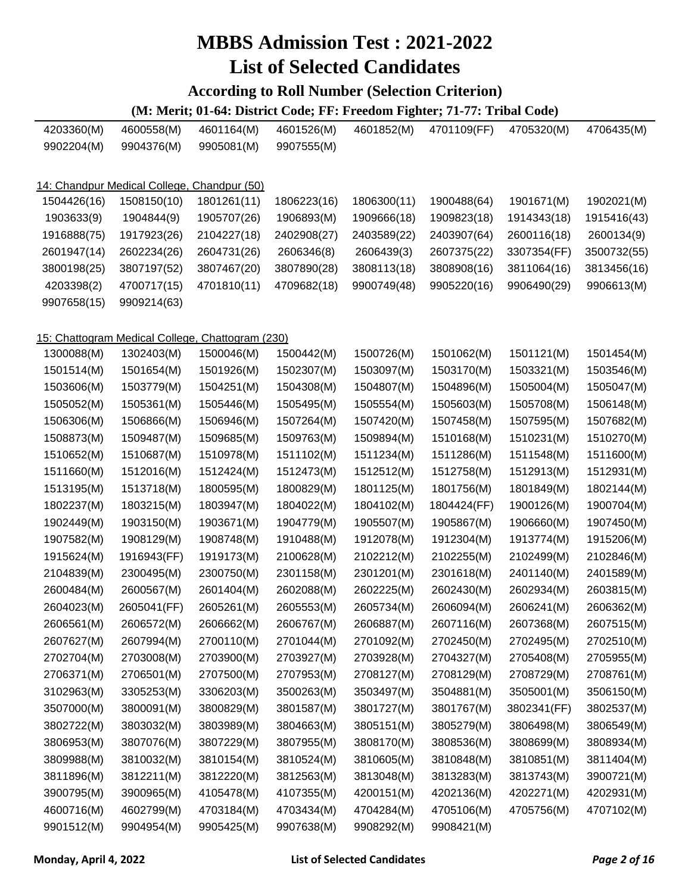#### **According to Roll Number (Selection Criterion)**

| 4203360(M)  | 4600558(M)                                  | 4601164(M)                                       | 4601526(M)  | 4601852(M)  | 4701109(FF) | 4705320(M)  | 4706435(M)  |
|-------------|---------------------------------------------|--------------------------------------------------|-------------|-------------|-------------|-------------|-------------|
| 9902204(M)  | 9904376(M)                                  | 9905081(M)                                       | 9907555(M)  |             |             |             |             |
|             |                                             |                                                  |             |             |             |             |             |
|             | 14: Chandpur Medical College, Chandpur (50) |                                                  |             |             |             |             |             |
| 1504426(16) | 1508150(10)                                 | 1801261(11)                                      | 1806223(16) | 1806300(11) | 1900488(64) | 1901671(M)  | 1902021(M)  |
| 1903633(9)  | 1904844(9)                                  | 1905707(26)                                      | 1906893(M)  | 1909666(18) | 1909823(18) | 1914343(18) | 1915416(43) |
| 1916888(75) | 1917923(26)                                 | 2104227(18)                                      | 2402908(27) | 2403589(22) | 2403907(64) | 2600116(18) | 2600134(9)  |
| 2601947(14) | 2602234(26)                                 | 2604731(26)                                      | 2606346(8)  | 2606439(3)  | 2607375(22) | 3307354(FF) | 3500732(55) |
| 3800198(25) | 3807197(52)                                 | 3807467(20)                                      | 3807890(28) | 3808113(18) | 3808908(16) | 3811064(16) | 3813456(16) |
| 4203398(2)  | 4700717(15)                                 | 4701810(11)                                      | 4709682(18) | 9900749(48) | 9905220(16) | 9906490(29) | 9906613(M)  |
| 9907658(15) | 9909214(63)                                 |                                                  |             |             |             |             |             |
|             |                                             |                                                  |             |             |             |             |             |
|             |                                             | 15: Chattogram Medical College, Chattogram (230) |             |             |             |             |             |
| 1300088(M)  | 1302403(M)                                  | 1500046(M)                                       | 1500442(M)  | 1500726(M)  | 1501062(M)  | 1501121(M)  | 1501454(M)  |
| 1501514(M)  | 1501654(M)                                  | 1501926(M)                                       | 1502307(M)  | 1503097(M)  | 1503170(M)  | 1503321(M)  | 1503546(M)  |
| 1503606(M)  | 1503779(M)                                  | 1504251(M)                                       | 1504308(M)  | 1504807(M)  | 1504896(M)  | 1505004(M)  | 1505047(M)  |
| 1505052(M)  | 1505361(M)                                  | 1505446(M)                                       | 1505495(M)  | 1505554(M)  | 1505603(M)  | 1505708(M)  | 1506148(M)  |
| 1506306(M)  | 1506866(M)                                  | 1506946(M)                                       | 1507264(M)  | 1507420(M)  | 1507458(M)  | 1507595(M)  | 1507682(M)  |
| 1508873(M)  | 1509487(M)                                  | 1509685(M)                                       | 1509763(M)  | 1509894(M)  | 1510168(M)  | 1510231(M)  | 1510270(M)  |
| 1510652(M)  | 1510687(M)                                  | 1510978(M)                                       | 1511102(M)  | 1511234(M)  | 1511286(M)  | 1511548(M)  | 1511600(M)  |
| 1511660(M)  | 1512016(M)                                  | 1512424(M)                                       | 1512473(M)  | 1512512(M)  | 1512758(M)  | 1512913(M)  | 1512931(M)  |
| 1513195(M)  | 1513718(M)                                  | 1800595(M)                                       | 1800829(M)  | 1801125(M)  | 1801756(M)  | 1801849(M)  | 1802144(M)  |
| 1802237(M)  | 1803215(M)                                  | 1803947(M)                                       | 1804022(M)  | 1804102(M)  | 1804424(FF) | 1900126(M)  | 1900704(M)  |
| 1902449(M)  | 1903150(M)                                  | 1903671(M)                                       | 1904779(M)  | 1905507(M)  | 1905867(M)  | 1906660(M)  | 1907450(M)  |
| 1907582(M)  | 1908129(M)                                  | 1908748(M)                                       | 1910488(M)  | 1912078(M)  | 1912304(M)  | 1913774(M)  | 1915206(M)  |
| 1915624(M)  | 1916943(FF)                                 | 1919173(M)                                       | 2100628(M)  | 2102212(M)  | 2102255(M)  | 2102499(M)  | 2102846(M)  |
| 2104839(M)  | 2300495(M)                                  | 2300750(M)                                       | 2301158(M)  | 2301201(M)  | 2301618(M)  | 2401140(M)  | 2401589(M)  |
| 2600484(M)  | 2600567(M)                                  | 2601404(M)                                       | 2602088(M)  | 2602225(M)  | 2602430(M)  | 2602934(M)  | 2603815(M)  |
| 2604023(M)  | 2605041(FF)                                 | 2605261(M)                                       | 2605553(M)  | 2605734(M)  | 2606094(M)  | 2606241(M)  | 2606362(M)  |
| 2606561(M)  | 2606572(M)                                  | 2606662(M)                                       | 2606767(M)  | 2606887(M)  | 2607116(M)  | 2607368(M)  | 2607515(M)  |
| 2607627(M)  | 2607994(M)                                  | 2700110(M)                                       | 2701044(M)  | 2701092(M)  | 2702450(M)  | 2702495(M)  | 2702510(M)  |
| 2702704(M)  | 2703008(M)                                  | 2703900(M)                                       | 2703927(M)  | 2703928(M)  | 2704327(M)  | 2705408(M)  | 2705955(M)  |
| 2706371(M)  | 2706501(M)                                  | 2707500(M)                                       | 2707953(M)  | 2708127(M)  | 2708129(M)  | 2708729(M)  | 2708761(M)  |
| 3102963(M)  | 3305253(M)                                  | 3306203(M)                                       | 3500263(M)  | 3503497(M)  | 3504881(M)  | 3505001(M)  | 3506150(M)  |
| 3507000(M)  | 3800091(M)                                  | 3800829(M)                                       | 3801587(M)  | 3801727(M)  | 3801767(M)  | 3802341(FF) | 3802537(M)  |
| 3802722(M)  | 3803032(M)                                  | 3803989(M)                                       | 3804663(M)  | 3805151(M)  | 3805279(M)  | 3806498(M)  | 3806549(M)  |
| 3806953(M)  | 3807076(M)                                  | 3807229(M)                                       | 3807955(M)  | 3808170(M)  | 3808536(M)  | 3808699(M)  | 3808934(M)  |
| 3809988(M)  | 3810032(M)                                  | 3810154(M)                                       | 3810524(M)  | 3810605(M)  | 3810848(M)  | 3810851(M)  | 3811404(M)  |
| 3811896(M)  | 3812211(M)                                  | 3812220(M)                                       | 3812563(M)  | 3813048(M)  | 3813283(M)  | 3813743(M)  | 3900721(M)  |
| 3900795(M)  | 3900965(M)                                  | 4105478(M)                                       | 4107355(M)  | 4200151(M)  | 4202136(M)  | 4202271(M)  | 4202931(M)  |
| 4600716(M)  | 4602799(M)                                  | 4703184(M)                                       | 4703434(M)  | 4704284(M)  | 4705106(M)  | 4705756(M)  | 4707102(M)  |
| 9901512(M)  | 9904954(M)                                  | 9905425(M)                                       | 9907638(M)  | 9908292(M)  | 9908421(M)  |             |             |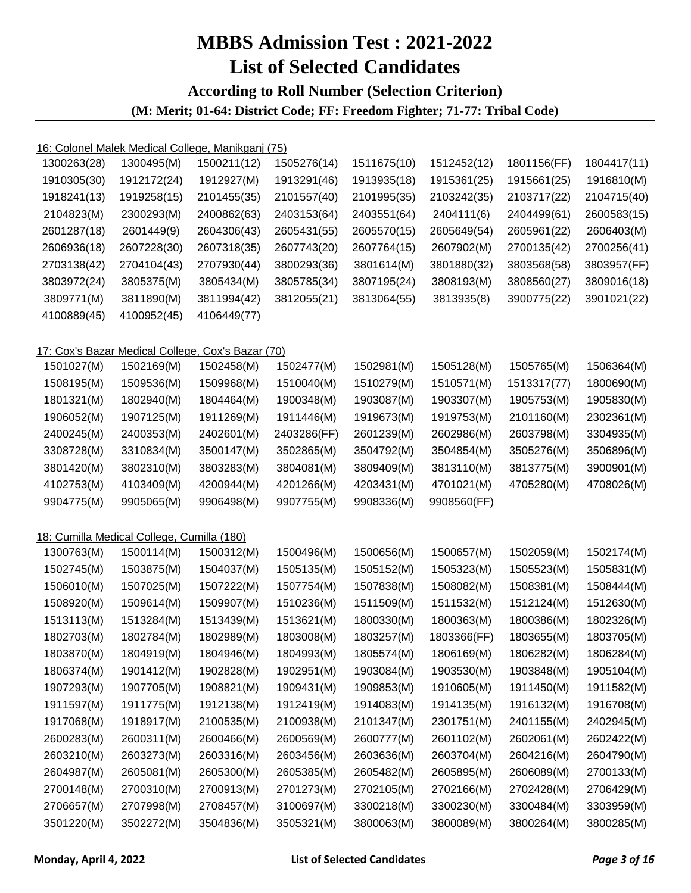#### **According to Roll Number (Selection Criterion) (M: Merit; 01-64: District Code; FF: Freedom Fighter; 71-77: Tribal Code)**

|             | 16: Colonel Malek Medical College, Manikganj (75) |             |             |             |             |             |             |
|-------------|---------------------------------------------------|-------------|-------------|-------------|-------------|-------------|-------------|
| 1300263(28) | 1300495(M)                                        | 1500211(12) | 1505276(14) | 1511675(10) | 1512452(12) | 1801156(FF) | 1804417(11) |
| 1910305(30) | 1912172(24)                                       | 1912927(M)  | 1913291(46) | 1913935(18) | 1915361(25) | 1915661(25) | 1916810(M)  |
| 1918241(13) | 1919258(15)                                       | 2101455(35) | 2101557(40) | 2101995(35) | 2103242(35) | 2103717(22) | 2104715(40) |
| 2104823(M)  | 2300293(M)                                        | 2400862(63) | 2403153(64) | 2403551(64) | 2404111(6)  | 2404499(61) | 2600583(15) |
| 2601287(18) | 2601449(9)                                        | 2604306(43) | 2605431(55) | 2605570(15) | 2605649(54) | 2605961(22) | 2606403(M)  |
| 2606936(18) | 2607228(30)                                       | 2607318(35) | 2607743(20) | 2607764(15) | 2607902(M)  | 2700135(42) | 2700256(41) |
| 2703138(42) | 2704104(43)                                       | 2707930(44) | 3800293(36) | 3801614(M)  | 3801880(32) | 3803568(58) | 3803957(FF) |
| 3803972(24) | 3805375(M)                                        | 3805434(M)  | 3805785(34) | 3807195(24) | 3808193(M)  | 3808560(27) | 3809016(18) |
| 3809771(M)  | 3811890(M)                                        | 3811994(42) | 3812055(21) | 3813064(55) | 3813935(8)  | 3900775(22) | 3901021(22) |
| 4100889(45) | 4100952(45)                                       | 4106449(77) |             |             |             |             |             |
|             | 17: Cox's Bazar Medical College, Cox's Bazar (70) |             |             |             |             |             |             |
| 1501027(M)  | 1502169(M)                                        | 1502458(M)  | 1502477(M)  | 1502981(M)  | 1505128(M)  | 1505765(M)  | 1506364(M)  |
| 1508195(M)  | 1509536(M)                                        | 1509968(M)  | 1510040(M)  | 1510279(M)  | 1510571(M)  | 1513317(77) | 1800690(M)  |
| 1801321(M)  | 1802940(M)                                        | 1804464(M)  | 1900348(M)  | 1903087(M)  | 1903307(M)  | 1905753(M)  | 1905830(M)  |
| 1906052(M)  | 1907125(M)                                        | 1911269(M)  | 1911446(M)  | 1919673(M)  | 1919753(M)  | 2101160(M)  | 2302361(M)  |
| 2400245(M)  | 2400353(M)                                        | 2402601(M)  | 2403286(FF) | 2601239(M)  | 2602986(M)  | 2603798(M)  | 3304935(M)  |
| 3308728(M)  | 3310834(M)                                        | 3500147(M)  | 3502865(M)  | 3504792(M)  | 3504854(M)  | 3505276(M)  | 3506896(M)  |
| 3801420(M)  | 3802310(M)                                        | 3803283(M)  | 3804081(M)  | 3809409(M)  | 3813110(M)  | 3813775(M)  | 3900901(M)  |
| 4102753(M)  | 4103409(M)                                        | 4200944(M)  | 4201266(M)  | 4203431(M)  | 4701021(M)  | 4705280(M)  | 4708026(M)  |
| 9904775(M)  | 9905065(M)                                        | 9906498(M)  | 9907755(M)  | 9908336(M)  | 9908560(FF) |             |             |
|             | 18: Cumilla Medical College, Cumilla (180)        |             |             |             |             |             |             |
| 1300763(M)  | 1500114(M)                                        | 1500312(M)  | 1500496(M)  | 1500656(M)  | 1500657(M)  | 1502059(M)  | 1502174(M)  |
| 1502745(M)  | 1503875(M)                                        | 1504037(M)  | 1505135(M)  | 1505152(M)  | 1505323(M)  | 1505523(M)  | 1505831(M)  |
| 1506010(M)  | 1507025(M)                                        | 1507222(M)  | 1507754(M)  | 1507838(M)  | 1508082(M)  | 1508381(M)  | 1508444(M)  |
| 1508920(M)  | 1509614(M)                                        | 1509907(M)  | 1510236(M)  | 1511509(M)  | 1511532(M)  | 1512124(M)  | 1512630(M)  |
| 1513113(M)  | 1513284(M)                                        | 1513439(M)  | 1513621(M)  | 1800330(M)  | 1800363(M)  | 1800386(M)  | 1802326(M)  |
| 1802703(M)  | 1802784(M)                                        | 1802989(M)  | 1803008(M)  | 1803257(M)  | 1803366(FF) | 1803655(M)  | 1803705(M)  |
| 1803870(M)  | 1804919(M)                                        | 1804946(M)  | 1804993(M)  | 1805574(M)  | 1806169(M)  | 1806282(M)  | 1806284(M)  |
| 1806374(M)  | 1901412(M)                                        | 1902828(M)  | 1902951(M)  | 1903084(M)  | 1903530(M)  | 1903848(M)  | 1905104(M)  |
| 1907293(M)  | 1907705(M)                                        | 1908821(M)  | 1909431(M)  | 1909853(M)  | 1910605(M)  | 1911450(M)  | 1911582(M)  |
| 1911597(M)  | 1911775(M)                                        | 1912138(M)  | 1912419(M)  | 1914083(M)  | 1914135(M)  | 1916132(M)  | 1916708(M)  |
| 1917068(M)  | 1918917(M)                                        | 2100535(M)  | 2100938(M)  | 2101347(M)  | 2301751(M)  | 2401155(M)  | 2402945(M)  |
| 2600283(M)  | 2600311(M)                                        | 2600466(M)  | 2600569(M)  | 2600777(M)  | 2601102(M)  | 2602061(M)  | 2602422(M)  |
| 2603210(M)  | 2603273(M)                                        | 2603316(M)  | 2603456(M)  | 2603636(M)  | 2603704(M)  | 2604216(M)  | 2604790(M)  |
| 2604987(M)  | 2605081(M)                                        | 2605300(M)  | 2605385(M)  | 2605482(M)  | 2605895(M)  | 2606089(M)  | 2700133(M)  |
| 2700148(M)  | 2700310(M)                                        | 2700913(M)  | 2701273(M)  | 2702105(M)  | 2702166(M)  | 2702428(M)  | 2706429(M)  |
| 2706657(M)  | 2707998(M)                                        | 2708457(M)  | 3100697(M)  | 3300218(M)  | 3300230(M)  | 3300484(M)  | 3303959(M)  |
| 3501220(M)  | 3502272(M)                                        | 3504836(M)  | 3505321(M)  | 3800063(M)  | 3800089(M)  | 3800264(M)  | 3800285(M)  |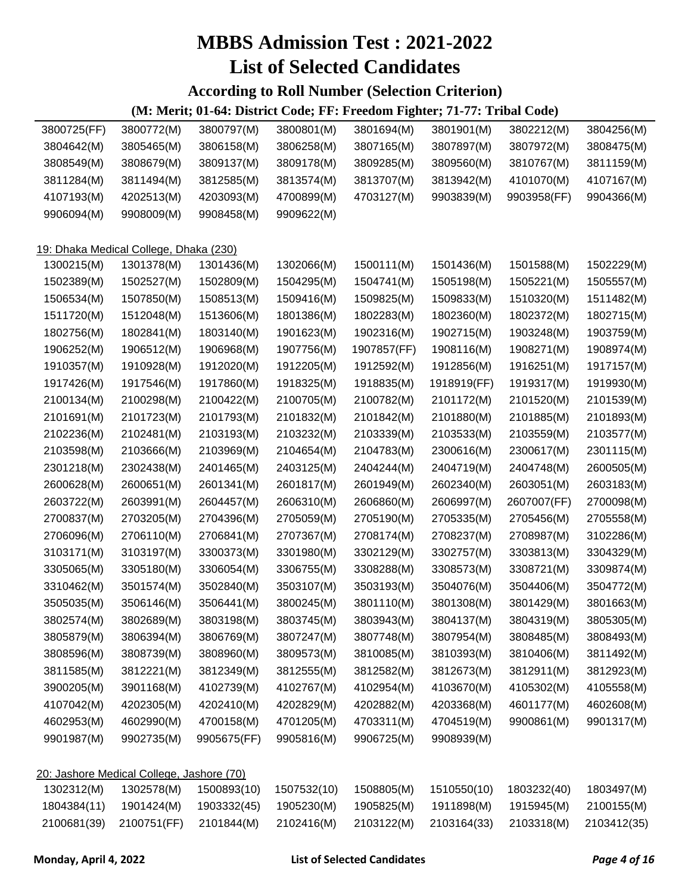#### **According to Roll Number (Selection Criterion)**

| 3800725(FF) | 3800772(M)                                | 3800797(M)  | 3800801(M)  | 3801694(M)  | 3801901(M)  | 3802212(M)  | 3804256(M)  |
|-------------|-------------------------------------------|-------------|-------------|-------------|-------------|-------------|-------------|
| 3804642(M)  | 3805465(M)                                | 3806158(M)  | 3806258(M)  | 3807165(M)  | 3807897(M)  | 3807972(M)  | 3808475(M)  |
| 3808549(M)  | 3808679(M)                                | 3809137(M)  | 3809178(M)  | 3809285(M)  | 3809560(M)  | 3810767(M)  | 3811159(M)  |
| 3811284(M)  | 3811494(M)                                | 3812585(M)  | 3813574(M)  | 3813707(M)  | 3813942(M)  | 4101070(M)  | 4107167(M)  |
| 4107193(M)  | 4202513(M)                                | 4203093(M)  | 4700899(M)  | 4703127(M)  | 9903839(M)  | 9903958(FF) | 9904366(M)  |
| 9906094(M)  | 9908009(M)                                | 9908458(M)  | 9909622(M)  |             |             |             |             |
|             |                                           |             |             |             |             |             |             |
|             | 19: Dhaka Medical College, Dhaka (230)    |             |             |             |             |             |             |
| 1300215(M)  | 1301378(M)                                | 1301436(M)  | 1302066(M)  | 1500111(M)  | 1501436(M)  | 1501588(M)  | 1502229(M)  |
| 1502389(M)  | 1502527(M)                                | 1502809(M)  | 1504295(M)  | 1504741(M)  | 1505198(M)  | 1505221(M)  | 1505557(M)  |
| 1506534(M)  | 1507850(M)                                | 1508513(M)  | 1509416(M)  | 1509825(M)  | 1509833(M)  | 1510320(M)  | 1511482(M)  |
| 1511720(M)  | 1512048(M)                                | 1513606(M)  | 1801386(M)  | 1802283(M)  | 1802360(M)  | 1802372(M)  | 1802715(M)  |
| 1802756(M)  | 1802841(M)                                | 1803140(M)  | 1901623(M)  | 1902316(M)  | 1902715(M)  | 1903248(M)  | 1903759(M)  |
| 1906252(M)  | 1906512(M)                                | 1906968(M)  | 1907756(M)  | 1907857(FF) | 1908116(M)  | 1908271(M)  | 1908974(M)  |
| 1910357(M)  | 1910928(M)                                | 1912020(M)  | 1912205(M)  | 1912592(M)  | 1912856(M)  | 1916251(M)  | 1917157(M)  |
| 1917426(M)  | 1917546(M)                                | 1917860(M)  | 1918325(M)  | 1918835(M)  | 1918919(FF) | 1919317(M)  | 1919930(M)  |
| 2100134(M)  | 2100298(M)                                | 2100422(M)  | 2100705(M)  | 2100782(M)  | 2101172(M)  | 2101520(M)  | 2101539(M)  |
| 2101691(M)  | 2101723(M)                                | 2101793(M)  | 2101832(M)  | 2101842(M)  | 2101880(M)  | 2101885(M)  | 2101893(M)  |
| 2102236(M)  | 2102481(M)                                | 2103193(M)  | 2103232(M)  | 2103339(M)  | 2103533(M)  | 2103559(M)  | 2103577(M)  |
| 2103598(M)  | 2103666(M)                                | 2103969(M)  | 2104654(M)  | 2104783(M)  | 2300616(M)  | 2300617(M)  | 2301115(M)  |
| 2301218(M)  | 2302438(M)                                | 2401465(M)  | 2403125(M)  | 2404244(M)  | 2404719(M)  | 2404748(M)  | 2600505(M)  |
| 2600628(M)  | 2600651(M)                                | 2601341(M)  | 2601817(M)  | 2601949(M)  | 2602340(M)  | 2603051(M)  | 2603183(M)  |
| 2603722(M)  | 2603991(M)                                | 2604457(M)  | 2606310(M)  | 2606860(M)  | 2606997(M)  | 2607007(FF) | 2700098(M)  |
| 2700837(M)  | 2703205(M)                                | 2704396(M)  | 2705059(M)  | 2705190(M)  | 2705335(M)  | 2705456(M)  | 2705558(M)  |
| 2706096(M)  | 2706110(M)                                | 2706841(M)  | 2707367(M)  | 2708174(M)  | 2708237(M)  | 2708987(M)  | 3102286(M)  |
| 3103171(M)  | 3103197(M)                                | 3300373(M)  | 3301980(M)  | 3302129(M)  | 3302757(M)  | 3303813(M)  | 3304329(M)  |
| 3305065(M)  | 3305180(M)                                | 3306054(M)  | 3306755(M)  | 3308288(M)  | 3308573(M)  | 3308721(M)  | 3309874(M)  |
| 3310462(M)  | 3501574(M)                                | 3502840(M)  | 3503107(M)  | 3503193(M)  | 3504076(M)  | 3504406(M)  | 3504772(M)  |
| 3505035(M)  | 3506146(M)                                | 3506441(M)  | 3800245(M)  | 3801110(M)  | 3801308(M)  | 3801429(M)  | 3801663(M)  |
| 3802574(M)  | 3802689(M)                                | 3803198(M)  | 3803745(M)  | 3803943(M)  | 3804137(M)  | 3804319(M)  | 3805305(M)  |
| 3805879(M)  | 3806394(M)                                | 3806769(M)  | 3807247(M)  | 3807748(M)  | 3807954(M)  | 3808485(M)  | 3808493(M)  |
| 3808596(M)  | 3808739(M)                                | 3808960(M)  | 3809573(M)  | 3810085(M)  | 3810393(M)  | 3810406(M)  | 3811492(M)  |
| 3811585(M)  | 3812221(M)                                | 3812349(M)  | 3812555(M)  | 3812582(M)  | 3812673(M)  | 3812911(M)  | 3812923(M)  |
| 3900205(M)  | 3901168(M)                                | 4102739(M)  | 4102767(M)  | 4102954(M)  | 4103670(M)  | 4105302(M)  | 4105558(M)  |
| 4107042(M)  | 4202305(M)                                | 4202410(M)  | 4202829(M)  | 4202882(M)  | 4203368(M)  | 4601177(M)  | 4602608(M)  |
| 4602953(M)  | 4602990(M)                                | 4700158(M)  | 4701205(M)  | 4703311(M)  | 4704519(M)  | 9900861(M)  | 9901317(M)  |
| 9901987(M)  | 9902735(M)                                | 9905675(FF) | 9905816(M)  | 9906725(M)  | 9908939(M)  |             |             |
|             |                                           |             |             |             |             |             |             |
|             | 20: Jashore Medical College, Jashore (70) |             |             |             |             |             |             |
| 1302312(M)  | 1302578(M)                                | 1500893(10) | 1507532(10) | 1508805(M)  | 1510550(10) | 1803232(40) | 1803497(M)  |
| 1804384(11) | 1901424(M)                                | 1903332(45) | 1905230(M)  | 1905825(M)  | 1911898(M)  | 1915945(M)  | 2100155(M)  |
| 2100681(39) | 2100751(FF)                               | 2101844(M)  | 2102416(M)  | 2103122(M)  | 2103164(33) | 2103318(M)  | 2103412(35) |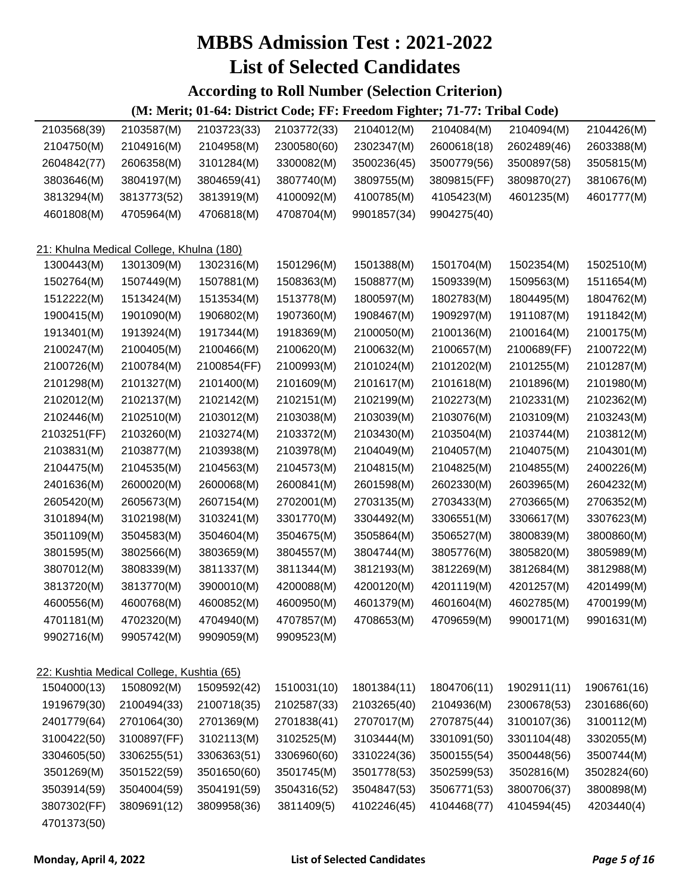#### **According to Roll Number (Selection Criterion)**

| 2103568(39) | 2103587(M)                                | 2103723(33) | 2103772(33) | 2104012(M)  | 2104084(M)  | 2104094(M)  | 2104426(M)  |
|-------------|-------------------------------------------|-------------|-------------|-------------|-------------|-------------|-------------|
| 2104750(M)  | 2104916(M)                                | 2104958(M)  | 2300580(60) | 2302347(M)  | 2600618(18) | 2602489(46) | 2603388(M)  |
| 2604842(77) | 2606358(M)                                | 3101284(M)  | 3300082(M)  | 3500236(45) | 3500779(56) | 3500897(58) | 3505815(M)  |
| 3803646(M)  | 3804197(M)                                | 3804659(41) | 3807740(M)  | 3809755(M)  | 3809815(FF) | 3809870(27) | 3810676(M)  |
| 3813294(M)  | 3813773(52)                               | 3813919(M)  | 4100092(M)  | 4100785(M)  | 4105423(M)  | 4601235(M)  | 4601777(M)  |
| 4601808(M)  | 4705964(M)                                | 4706818(M)  | 4708704(M)  | 9901857(34) | 9904275(40) |             |             |
|             |                                           |             |             |             |             |             |             |
|             | 21: Khulna Medical College, Khulna (180)  |             |             |             |             |             |             |
| 1300443(M)  | 1301309(M)                                | 1302316(M)  | 1501296(M)  | 1501388(M)  | 1501704(M)  | 1502354(M)  | 1502510(M)  |
| 1502764(M)  | 1507449(M)                                | 1507881(M)  | 1508363(M)  | 1508877(M)  | 1509339(M)  | 1509563(M)  | 1511654(M)  |
| 1512222(M)  | 1513424(M)                                | 1513534(M)  | 1513778(M)  | 1800597(M)  | 1802783(M)  | 1804495(M)  | 1804762(M)  |
| 1900415(M)  | 1901090(M)                                | 1906802(M)  | 1907360(M)  | 1908467(M)  | 1909297(M)  | 1911087(M)  | 1911842(M)  |
| 1913401(M)  | 1913924(M)                                | 1917344(M)  | 1918369(M)  | 2100050(M)  | 2100136(M)  | 2100164(M)  | 2100175(M)  |
| 2100247(M)  | 2100405(M)                                | 2100466(M)  | 2100620(M)  | 2100632(M)  | 2100657(M)  | 2100689(FF) | 2100722(M)  |
| 2100726(M)  | 2100784(M)                                | 2100854(FF) | 2100993(M)  | 2101024(M)  | 2101202(M)  | 2101255(M)  | 2101287(M)  |
| 2101298(M)  | 2101327(M)                                | 2101400(M)  | 2101609(M)  | 2101617(M)  | 2101618(M)  | 2101896(M)  | 2101980(M)  |
| 2102012(M)  | 2102137(M)                                | 2102142(M)  | 2102151(M)  | 2102199(M)  | 2102273(M)  | 2102331(M)  | 2102362(M)  |
| 2102446(M)  | 2102510(M)                                | 2103012(M)  | 2103038(M)  | 2103039(M)  | 2103076(M)  | 2103109(M)  | 2103243(M)  |
| 2103251(FF) | 2103260(M)                                | 2103274(M)  | 2103372(M)  | 2103430(M)  | 2103504(M)  | 2103744(M)  | 2103812(M)  |
| 2103831(M)  | 2103877(M)                                | 2103938(M)  | 2103978(M)  | 2104049(M)  | 2104057(M)  | 2104075(M)  | 2104301(M)  |
| 2104475(M)  | 2104535(M)                                | 2104563(M)  | 2104573(M)  | 2104815(M)  | 2104825(M)  | 2104855(M)  | 2400226(M)  |
| 2401636(M)  | 2600020(M)                                | 2600068(M)  | 2600841(M)  | 2601598(M)  | 2602330(M)  | 2603965(M)  | 2604232(M)  |
| 2605420(M)  | 2605673(M)                                | 2607154(M)  | 2702001(M)  | 2703135(M)  | 2703433(M)  | 2703665(M)  | 2706352(M)  |
| 3101894(M)  | 3102198(M)                                | 3103241(M)  | 3301770(M)  | 3304492(M)  | 3306551(M)  | 3306617(M)  | 3307623(M)  |
| 3501109(M)  | 3504583(M)                                | 3504604(M)  | 3504675(M)  | 3505864(M)  | 3506527(M)  | 3800839(M)  | 3800860(M)  |
| 3801595(M)  | 3802566(M)                                | 3803659(M)  | 3804557(M)  | 3804744(M)  | 3805776(M)  | 3805820(M)  | 3805989(M)  |
| 3807012(M)  | 3808339(M)                                | 3811337(M)  | 3811344(M)  | 3812193(M)  | 3812269(M)  | 3812684(M)  | 3812988(M)  |
| 3813720(M)  | 3813770(M)                                | 3900010(M)  | 4200088(M)  | 4200120(M)  | 4201119(M)  | 4201257(M)  | 4201499(M)  |
| 4600556(M)  | 4600768(M)                                | 4600852(M)  | 4600950(M)  | 4601379(M)  | 4601604(M)  | 4602785(M)  | 4700199(M)  |
| 4701181(M)  | 4702320(M)                                | 4704940(M)  | 4707857(M)  | 4708653(M)  | 4709659(M)  | 9900171(M)  | 9901631(M)  |
| 9902716(M)  | 9905742(M)                                | 9909059(M)  | 9909523(M)  |             |             |             |             |
|             |                                           |             |             |             |             |             |             |
|             | 22: Kushtia Medical College, Kushtia (65) |             |             |             |             |             |             |
| 1504000(13) | 1508092(M)                                | 1509592(42) | 1510031(10) | 1801384(11) | 1804706(11) | 1902911(11) | 1906761(16) |
| 1919679(30) | 2100494(33)                               | 2100718(35) | 2102587(33) | 2103265(40) | 2104936(M)  | 2300678(53) | 2301686(60) |
| 2401779(64) | 2701064(30)                               | 2701369(M)  | 2701838(41) | 2707017(M)  | 2707875(44) | 3100107(36) | 3100112(M)  |
| 3100422(50) | 3100897(FF)                               | 3102113(M)  | 3102525(M)  | 3103444(M)  | 3301091(50) | 3301104(48) | 3302055(M)  |
| 3304605(50) | 3306255(51)                               | 3306363(51) | 3306960(60) | 3310224(36) | 3500155(54) | 3500448(56) | 3500744(M)  |
| 3501269(M)  | 3501522(59)                               | 3501650(60) | 3501745(M)  | 3501778(53) | 3502599(53) | 3502816(M)  | 3502824(60) |
| 3503914(59) | 3504004(59)                               | 3504191(59) | 3504316(52) | 3504847(53) | 3506771(53) | 3800706(37) | 3800898(M)  |
| 3807302(FF) | 3809691(12)                               | 3809958(36) | 3811409(5)  | 4102246(45) | 4104468(77) | 4104594(45) | 4203440(4)  |
| 4701373(50) |                                           |             |             |             |             |             |             |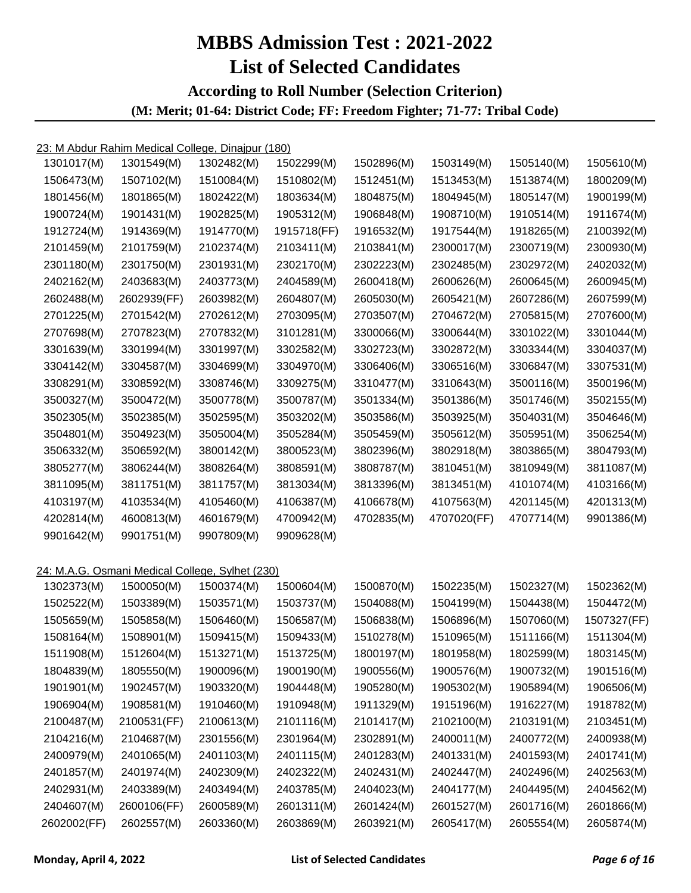#### **According to Roll Number (Selection Criterion) (M: Merit; 01-64: District Code; FF: Freedom Fighter; 71-77: Tribal Code)**

| 1301017(M)  | 1301549(M)                                      | 1302482(M) | 1502299(M)  | 1502896(M) | 1503149(M)  | 1505140(M) | 1505610(M)  |
|-------------|-------------------------------------------------|------------|-------------|------------|-------------|------------|-------------|
| 1506473(M)  | 1507102(M)                                      | 1510084(M) | 1510802(M)  | 1512451(M) | 1513453(M)  | 1513874(M) | 1800209(M)  |
| 1801456(M)  | 1801865(M)                                      | 1802422(M) | 1803634(M)  | 1804875(M) | 1804945(M)  | 1805147(M) | 1900199(M)  |
| 1900724(M)  | 1901431(M)                                      | 1902825(M) | 1905312(M)  | 1906848(M) | 1908710(M)  | 1910514(M) | 1911674(M)  |
| 1912724(M)  | 1914369(M)                                      | 1914770(M) | 1915718(FF) | 1916532(M) | 1917544(M)  | 1918265(M) | 2100392(M)  |
| 2101459(M)  | 2101759(M)                                      | 2102374(M) | 2103411(M)  | 2103841(M) | 2300017(M)  | 2300719(M) | 2300930(M)  |
| 2301180(M)  | 2301750(M)                                      | 2301931(M) | 2302170(M)  | 2302223(M) | 2302485(M)  | 2302972(M) | 2402032(M)  |
| 2402162(M)  | 2403683(M)                                      | 2403773(M) | 2404589(M)  | 2600418(M) | 2600626(M)  | 2600645(M) | 2600945(M)  |
| 2602488(M)  | 2602939(FF)                                     | 2603982(M) | 2604807(M)  | 2605030(M) | 2605421(M)  | 2607286(M) | 2607599(M)  |
| 2701225(M)  | 2701542(M)                                      | 2702612(M) | 2703095(M)  | 2703507(M) | 2704672(M)  | 2705815(M) | 2707600(M)  |
| 2707698(M)  | 2707823(M)                                      | 2707832(M) | 3101281(M)  | 3300066(M) | 3300644(M)  | 3301022(M) | 3301044(M)  |
| 3301639(M)  | 3301994(M)                                      | 3301997(M) | 3302582(M)  | 3302723(M) | 3302872(M)  | 3303344(M) | 3304037(M)  |
| 3304142(M)  | 3304587(M)                                      | 3304699(M) | 3304970(M)  | 3306406(M) | 3306516(M)  | 3306847(M) | 3307531(M)  |
| 3308291(M)  | 3308592(M)                                      | 3308746(M) | 3309275(M)  | 3310477(M) | 3310643(M)  | 3500116(M) | 3500196(M)  |
| 3500327(M)  | 3500472(M)                                      | 3500778(M) | 3500787(M)  | 3501334(M) | 3501386(M)  | 3501746(M) | 3502155(M)  |
| 3502305(M)  | 3502385(M)                                      | 3502595(M) | 3503202(M)  | 3503586(M) | 3503925(M)  | 3504031(M) | 3504646(M)  |
| 3504801(M)  | 3504923(M)                                      | 3505004(M) | 3505284(M)  | 3505459(M) | 3505612(M)  | 3505951(M) | 3506254(M)  |
| 3506332(M)  | 3506592(M)                                      | 3800142(M) | 3800523(M)  | 3802396(M) | 3802918(M)  | 3803865(M) | 3804793(M)  |
| 3805277(M)  | 3806244(M)                                      | 3808264(M) | 3808591(M)  | 3808787(M) | 3810451(M)  | 3810949(M) | 3811087(M)  |
| 3811095(M)  | 3811751(M)                                      | 3811757(M) | 3813034(M)  | 3813396(M) | 3813451(M)  | 4101074(M) | 4103166(M)  |
| 4103197(M)  | 4103534(M)                                      | 4105460(M) | 4106387(M)  | 4106678(M) | 4107563(M)  | 4201145(M) | 4201313(M)  |
| 4202814(M)  | 4600813(M)                                      | 4601679(M) | 4700942(M)  | 4702835(M) | 4707020(FF) | 4707714(M) | 9901386(M)  |
| 9901642(M)  | 9901751(M)                                      | 9907809(M) | 9909628(M)  |            |             |            |             |
|             |                                                 |            |             |            |             |            |             |
|             | 24: M.A.G. Osmani Medical College, Sylhet (230) |            |             |            |             |            |             |
| 1302373(M)  | 1500050(M)                                      | 1500374(M) | 1500604(M)  | 1500870(M) | 1502235(M)  | 1502327(M) | 1502362(M)  |
| 1502522(M)  | 1503389(M)                                      | 1503571(M) | 1503737(M)  | 1504088(M) | 1504199(M)  | 1504438(M) | 1504472(M)  |
| 1505659(M)  | 1505858(M)                                      | 1506460(M) | 1506587(M)  | 1506838(M) | 1506896(M)  | 1507060(M) | 1507327(FF) |
| 1508164(M)  | 1508901(M)                                      | 1509415(M) | 1509433(M)  | 1510278(M) | 1510965(M)  | 1511166(M) | 1511304(M)  |
| 1511908(M)  | 1512604(M)                                      | 1513271(M) | 1513725(M)  | 1800197(M) | 1801958(M)  | 1802599(M) | 1803145(M)  |
| 1804839(M)  | 1805550(M)                                      | 1900096(M) | 1900190(M)  | 1900556(M) | 1900576(M)  | 1900732(M) | 1901516(M)  |
| 1901901(M)  | 1902457(M)                                      | 1903320(M) | 1904448(M)  | 1905280(M) | 1905302(M)  | 1905894(M) | 1906506(M)  |
| 1906904(M)  | 1908581(M)                                      | 1910460(M) | 1910948(M)  | 1911329(M) | 1915196(M)  | 1916227(M) | 1918782(M)  |
| 2100487(M)  | 2100531(FF)                                     | 2100613(M) | 2101116(M)  | 2101417(M) | 2102100(M)  | 2103191(M) | 2103451(M)  |
| 2104216(M)  | 2104687(M)                                      | 2301556(M) | 2301964(M)  | 2302891(M) | 2400011(M)  | 2400772(M) | 2400938(M)  |
| 2400979(M)  | 2401065(M)                                      | 2401103(M) | 2401115(M)  | 2401283(M) | 2401331(M)  | 2401593(M) | 2401741(M)  |
| 2401857(M)  | 2401974(M)                                      | 2402309(M) | 2402322(M)  | 2402431(M) | 2402447(M)  | 2402496(M) | 2402563(M)  |
| 2402931(M)  | 2403389(M)                                      | 2403494(M) | 2403785(M)  | 2404023(M) | 2404177(M)  | 2404495(M) | 2404562(M)  |
| 2404607(M)  | 2600106(FF)                                     | 2600589(M) | 2601311(M)  | 2601424(M) | 2601527(M)  | 2601716(M) | 2601866(M)  |
| 2602002(FF) | 2602557(M)                                      | 2603360(M) | 2603869(M)  | 2603921(M) | 2605417(M)  | 2605554(M) | 2605874(M)  |
|             |                                                 |            |             |            |             |            |             |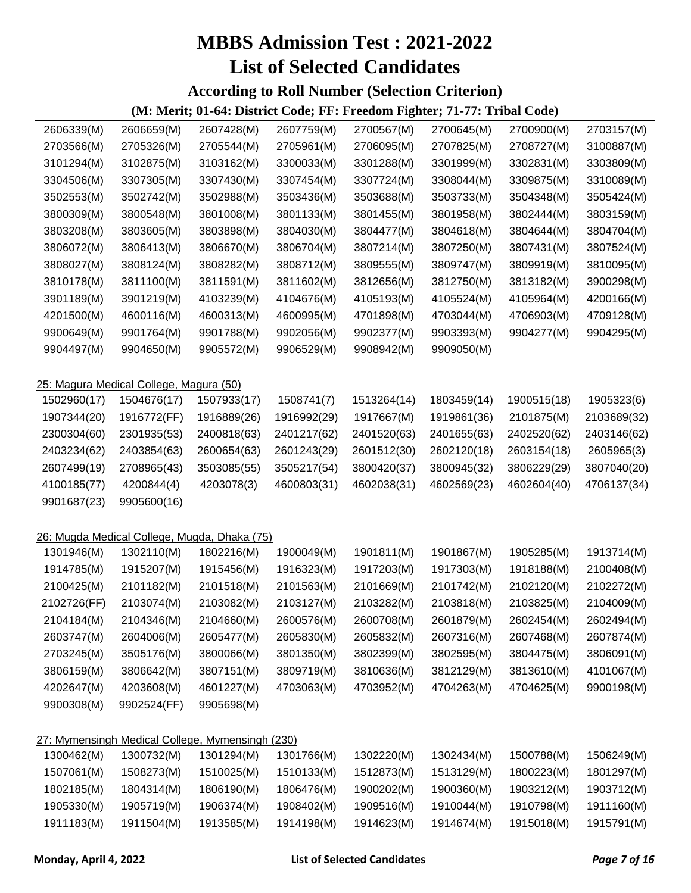#### **According to Roll Number (Selection Criterion)**

| 2606339(M)  | 2606659(M)                                       | 2607428(M)  | 2607759(M)  | 2700567(M)  | 2700645(M)  | 2700900(M)  | 2703157(M)  |
|-------------|--------------------------------------------------|-------------|-------------|-------------|-------------|-------------|-------------|
| 2703566(M)  | 2705326(M)                                       | 2705544(M)  | 2705961(M)  | 2706095(M)  | 2707825(M)  | 2708727(M)  | 3100887(M)  |
| 3101294(M)  | 3102875(M)                                       | 3103162(M)  | 3300033(M)  | 3301288(M)  | 3301999(M)  | 3302831(M)  | 3303809(M)  |
| 3304506(M)  | 3307305(M)                                       | 3307430(M)  | 3307454(M)  | 3307724(M)  | 3308044(M)  | 3309875(M)  | 3310089(M)  |
| 3502553(M)  | 3502742(M)                                       | 3502988(M)  | 3503436(M)  | 3503688(M)  | 3503733(M)  | 3504348(M)  | 3505424(M)  |
| 3800309(M)  | 3800548(M)                                       | 3801008(M)  | 3801133(M)  | 3801455(M)  | 3801958(M)  | 3802444(M)  | 3803159(M)  |
| 3803208(M)  | 3803605(M)                                       | 3803898(M)  | 3804030(M)  | 3804477(M)  | 3804618(M)  | 3804644(M)  | 3804704(M)  |
| 3806072(M)  | 3806413(M)                                       | 3806670(M)  | 3806704(M)  | 3807214(M)  | 3807250(M)  | 3807431(M)  | 3807524(M)  |
| 3808027(M)  | 3808124(M)                                       | 3808282(M)  | 3808712(M)  | 3809555(M)  | 3809747(M)  | 3809919(M)  | 3810095(M)  |
| 3810178(M)  | 3811100(M)                                       | 3811591(M)  | 3811602(M)  | 3812656(M)  | 3812750(M)  | 3813182(M)  | 3900298(M)  |
| 3901189(M)  | 3901219(M)                                       | 4103239(M)  | 4104676(M)  | 4105193(M)  | 4105524(M)  | 4105964(M)  | 4200166(M)  |
| 4201500(M)  | 4600116(M)                                       | 4600313(M)  | 4600995(M)  | 4701898(M)  | 4703044(M)  | 4706903(M)  | 4709128(M)  |
| 9900649(M)  | 9901764(M)                                       | 9901788(M)  | 9902056(M)  | 9902377(M)  | 9903393(M)  | 9904277(M)  | 9904295(M)  |
| 9904497(M)  | 9904650(M)                                       | 9905572(M)  | 9906529(M)  | 9908942(M)  | 9909050(M)  |             |             |
|             |                                                  |             |             |             |             |             |             |
|             | 25: Magura Medical College, Magura (50)          |             |             |             |             |             |             |
| 1502960(17) | 1504676(17)                                      | 1507933(17) | 1508741(7)  | 1513264(14) | 1803459(14) | 1900515(18) | 1905323(6)  |
| 1907344(20) | 1916772(FF)                                      | 1916889(26) | 1916992(29) | 1917667(M)  | 1919861(36) | 2101875(M)  | 2103689(32) |
| 2300304(60) | 2301935(53)                                      | 2400818(63) | 2401217(62) | 2401520(63) | 2401655(63) | 2402520(62) | 2403146(62) |
| 2403234(62) | 2403854(63)                                      | 2600654(63) | 2601243(29) | 2601512(30) | 2602120(18) | 2603154(18) | 2605965(3)  |
| 2607499(19) | 2708965(43)                                      | 3503085(55) | 3505217(54) | 3800420(37) | 3800945(32) | 3806229(29) | 3807040(20) |
| 4100185(77) | 4200844(4)                                       | 4203078(3)  | 4600803(31) | 4602038(31) | 4602569(23) | 4602604(40) | 4706137(34) |
| 9901687(23) | 9905600(16)                                      |             |             |             |             |             |             |
|             |                                                  |             |             |             |             |             |             |
|             | 26: Mugda Medical College, Mugda, Dhaka (75)     |             |             |             |             |             |             |
| 1301946(M)  | 1302110(M)                                       | 1802216(M)  | 1900049(M)  | 1901811(M)  | 1901867(M)  | 1905285(M)  | 1913714(M)  |
| 1914785(M)  | 1915207(M)                                       | 1915456(M)  | 1916323(M)  | 1917203(M)  | 1917303(M)  | 1918188(M)  | 2100408(M)  |
| 2100425(M)  | 2101182(M)                                       | 2101518(M)  | 2101563(M)  | 2101669(M)  | 2101742(M)  | 2102120(M)  | 2102272(M)  |
| 2102726(FF) | 2103074(M)                                       | 2103082(M)  | 2103127(M)  | 2103282(M)  | 2103818(M)  | 2103825(M)  | 2104009(M)  |
| 2104184(M)  | 2104346(M)                                       | 2104660(M)  | 2600576(M)  | 2600708(M)  | 2601879(M)  | 2602454(M)  | 2602494(M)  |
| 2603747(M)  | 2604006(M)                                       | 2605477(M)  | 2605830(M)  | 2605832(M)  | 2607316(M)  | 2607468(M)  | 2607874(M)  |
| 2703245(M)  | 3505176(M)                                       | 3800066(M)  | 3801350(M)  | 3802399(M)  | 3802595(M)  | 3804475(M)  | 3806091(M)  |
| 3806159(M)  | 3806642(M)                                       | 3807151(M)  | 3809719(M)  | 3810636(M)  | 3812129(M)  | 3813610(M)  | 4101067(M)  |
| 4202647(M)  | 4203608(M)                                       | 4601227(M)  | 4703063(M)  | 4703952(M)  | 4704263(M)  | 4704625(M)  | 9900198(M)  |
| 9900308(M)  | 9902524(FF)                                      | 9905698(M)  |             |             |             |             |             |
|             |                                                  |             |             |             |             |             |             |
|             | 27: Mymensingh Medical College, Mymensingh (230) |             |             |             |             |             |             |
| 1300462(M)  | 1300732(M)                                       | 1301294(M)  | 1301766(M)  | 1302220(M)  | 1302434(M)  | 1500788(M)  | 1506249(M)  |
| 1507061(M)  | 1508273(M)                                       | 1510025(M)  | 1510133(M)  | 1512873(M)  | 1513129(M)  | 1800223(M)  | 1801297(M)  |
| 1802185(M)  | 1804314(M)                                       | 1806190(M)  | 1806476(M)  | 1900202(M)  | 1900360(M)  | 1903212(M)  | 1903712(M)  |
| 1905330(M)  | 1905719(M)                                       | 1906374(M)  | 1908402(M)  | 1909516(M)  | 1910044(M)  | 1910798(M)  | 1911160(M)  |
| 1911183(M)  | 1911504(M)                                       | 1913585(M)  | 1914198(M)  | 1914623(M)  | 1914674(M)  | 1915018(M)  | 1915791(M)  |
|             |                                                  |             |             |             |             |             |             |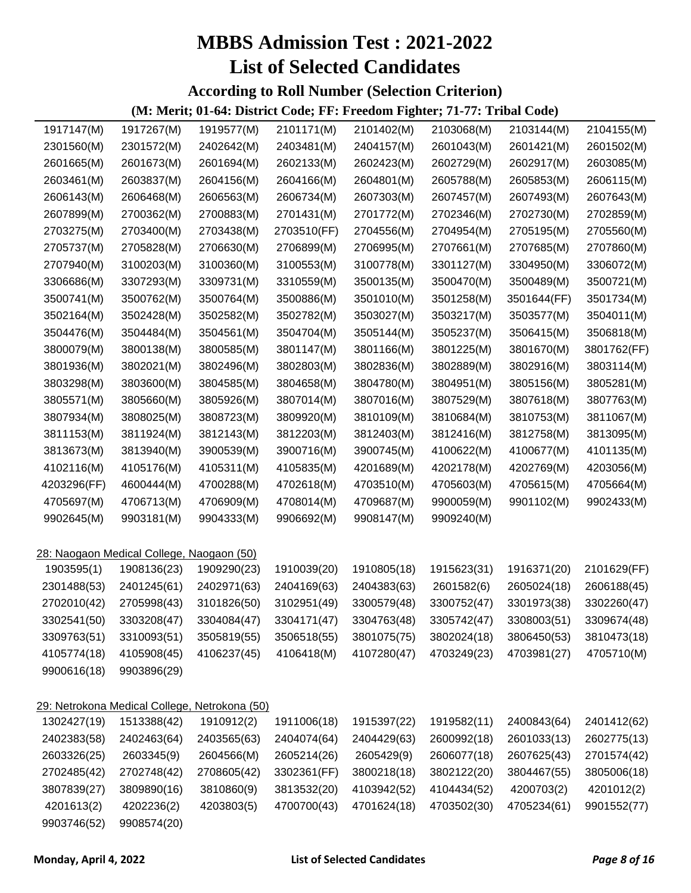**According to Roll Number (Selection Criterion)**

| 1917147(M)  | 1917267(M)                                | 1919577(M)                                    | 2101171(M)  | 2101402(M)  | 2103068(M)  | 2103144(M)  | 2104155(M)  |
|-------------|-------------------------------------------|-----------------------------------------------|-------------|-------------|-------------|-------------|-------------|
| 2301560(M)  | 2301572(M)                                | 2402642(M)                                    | 2403481(M)  | 2404157(M)  | 2601043(M)  | 2601421(M)  | 2601502(M)  |
| 2601665(M)  | 2601673(M)                                | 2601694(M)                                    | 2602133(M)  | 2602423(M)  | 2602729(M)  | 2602917(M)  | 2603085(M)  |
| 2603461(M)  | 2603837(M)                                | 2604156(M)                                    | 2604166(M)  | 2604801(M)  | 2605788(M)  | 2605853(M)  | 2606115(M)  |
| 2606143(M)  | 2606468(M)                                | 2606563(M)                                    | 2606734(M)  | 2607303(M)  | 2607457(M)  | 2607493(M)  | 2607643(M)  |
| 2607899(M)  | 2700362(M)                                | 2700883(M)                                    | 2701431(M)  | 2701772(M)  | 2702346(M)  | 2702730(M)  | 2702859(M)  |
| 2703275(M)  | 2703400(M)                                | 2703438(M)                                    | 2703510(FF) | 2704556(M)  | 2704954(M)  | 2705195(M)  | 2705560(M)  |
| 2705737(M)  | 2705828(M)                                | 2706630(M)                                    | 2706899(M)  | 2706995(M)  | 2707661(M)  | 2707685(M)  | 2707860(M)  |
| 2707940(M)  | 3100203(M)                                | 3100360(M)                                    | 3100553(M)  | 3100778(M)  | 3301127(M)  | 3304950(M)  | 3306072(M)  |
| 3306686(M)  | 3307293(M)                                | 3309731(M)                                    | 3310559(M)  | 3500135(M)  | 3500470(M)  | 3500489(M)  | 3500721(M)  |
| 3500741(M)  | 3500762(M)                                | 3500764(M)                                    | 3500886(M)  | 3501010(M)  | 3501258(M)  | 3501644(FF) | 3501734(M)  |
| 3502164(M)  | 3502428(M)                                | 3502582(M)                                    | 3502782(M)  | 3503027(M)  | 3503217(M)  | 3503577(M)  | 3504011(M)  |
| 3504476(M)  | 3504484(M)                                | 3504561(M)                                    | 3504704(M)  | 3505144(M)  | 3505237(M)  | 3506415(M)  | 3506818(M)  |
| 3800079(M)  | 3800138(M)                                | 3800585(M)                                    | 3801147(M)  | 3801166(M)  | 3801225(M)  | 3801670(M)  | 3801762(FF) |
| 3801936(M)  | 3802021(M)                                | 3802496(M)                                    | 3802803(M)  | 3802836(M)  | 3802889(M)  | 3802916(M)  | 3803114(M)  |
| 3803298(M)  | 3803600(M)                                | 3804585(M)                                    | 3804658(M)  | 3804780(M)  | 3804951(M)  | 3805156(M)  | 3805281(M)  |
| 3805571(M)  | 3805660(M)                                | 3805926(M)                                    | 3807014(M)  | 3807016(M)  | 3807529(M)  | 3807618(M)  | 3807763(M)  |
| 3807934(M)  | 3808025(M)                                | 3808723(M)                                    | 3809920(M)  | 3810109(M)  | 3810684(M)  | 3810753(M)  | 3811067(M)  |
| 3811153(M)  | 3811924(M)                                | 3812143(M)                                    | 3812203(M)  | 3812403(M)  | 3812416(M)  | 3812758(M)  | 3813095(M)  |
| 3813673(M)  | 3813940(M)                                | 3900539(M)                                    | 3900716(M)  | 3900745(M)  | 4100622(M)  | 4100677(M)  | 4101135(M)  |
| 4102116(M)  | 4105176(M)                                | 4105311(M)                                    | 4105835(M)  | 4201689(M)  | 4202178(M)  | 4202769(M)  | 4203056(M)  |
| 4203296(FF) | 4600444(M)                                | 4700288(M)                                    | 4702618(M)  | 4703510(M)  | 4705603(M)  | 4705615(M)  | 4705664(M)  |
| 4705697(M)  | 4706713(M)                                | 4706909(M)                                    | 4708014(M)  | 4709687(M)  | 9900059(M)  | 9901102(M)  | 9902433(M)  |
| 9902645(M)  | 9903181(M)                                | 9904333(M)                                    | 9906692(M)  | 9908147(M)  | 9909240(M)  |             |             |
|             |                                           |                                               |             |             |             |             |             |
|             | 28: Naogaon Medical College, Naogaon (50) |                                               |             |             |             |             |             |
| 1903595(1)  | 1908136(23)                               | 1909290(23)                                   | 1910039(20) | 1910805(18) | 1915623(31) | 1916371(20) | 2101629(FF) |
| 2301488(53) | 2401245(61)                               | 2402971(63)                                   | 2404169(63) | 2404383(63) | 2601582(6)  | 2605024(18) | 2606188(45) |
| 2702010(42) | 2705998(43)                               | 3101826(50)                                   | 3102951(49) | 3300579(48) | 3300752(47) | 3301973(38) | 3302260(47) |
| 3302541(50) | 3303208(47)                               | 3304084(47)                                   | 3304171(47) | 3304763(48) | 3305742(47) | 3308003(51) | 3309674(48) |
| 3309763(51) | 3310093(51)                               | 3505819(55)                                   | 3506518(55) | 3801075(75) | 3802024(18) | 3806450(53) | 3810473(18) |
| 4105774(18) | 4105908(45)                               | 4106237(45)                                   | 4106418(M)  | 4107280(47) | 4703249(23) | 4703981(27) | 4705710(M)  |
| 9900616(18) | 9903896(29)                               |                                               |             |             |             |             |             |
|             |                                           |                                               |             |             |             |             |             |
|             |                                           | 29: Netrokona Medical College, Netrokona (50) |             |             |             |             |             |
| 1302427(19) | 1513388(42)                               | 1910912(2)                                    | 1911006(18) | 1915397(22) | 1919582(11) | 2400843(64) | 2401412(62) |
| 2402383(58) | 2402463(64)                               | 2403565(63)                                   | 2404074(64) | 2404429(63) | 2600992(18) | 2601033(13) | 2602775(13) |
| 2603326(25) | 2603345(9)                                | 2604566(M)                                    | 2605214(26) | 2605429(9)  | 2606077(18) | 2607625(43) | 2701574(42) |
| 2702485(42) | 2702748(42)                               | 2708605(42)                                   | 3302361(FF) | 3800218(18) | 3802122(20) | 3804467(55) | 3805006(18) |
| 3807839(27) | 3809890(16)                               | 3810860(9)                                    | 3813532(20) | 4103942(52) | 4104434(52) | 4200703(2)  | 4201012(2)  |
| 4201613(2)  | 4202236(2)                                | 4203803(5)                                    | 4700700(43) | 4701624(18) | 4703502(30) | 4705234(61) | 9901552(77) |
| 9903746(52) | 9908574(20)                               |                                               |             |             |             |             |             |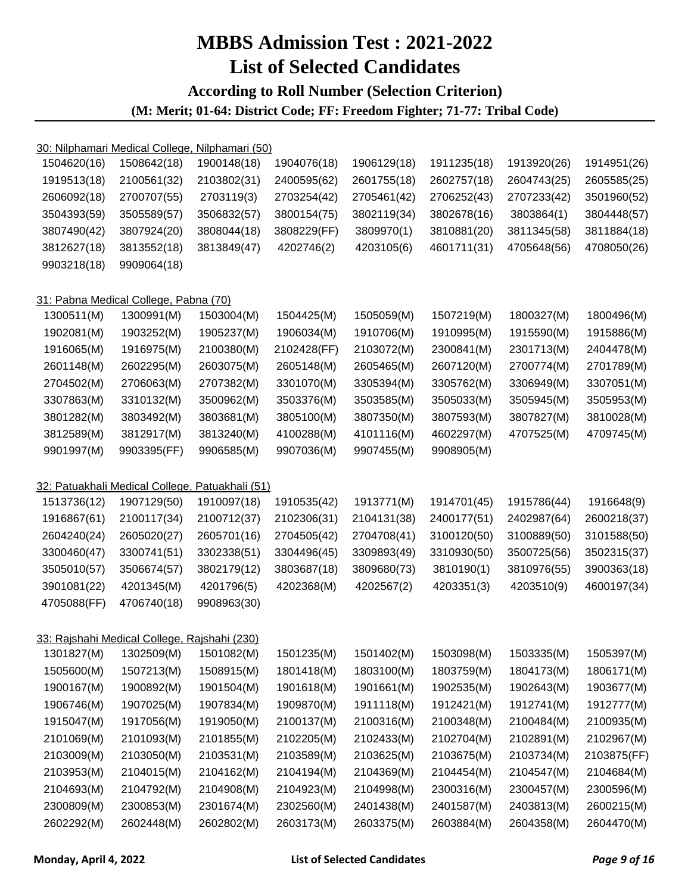#### **According to Roll Number (Selection Criterion)**

|             | 30: Nilphamari Medical College, Nilphamari (50) |             |             |             |             |             |             |
|-------------|-------------------------------------------------|-------------|-------------|-------------|-------------|-------------|-------------|
| 1504620(16) | 1508642(18)                                     | 1900148(18) | 1904076(18) | 1906129(18) | 1911235(18) | 1913920(26) | 1914951(26) |
| 1919513(18) | 2100561(32)                                     | 2103802(31) | 2400595(62) | 2601755(18) | 2602757(18) | 2604743(25) | 2605585(25) |
| 2606092(18) | 2700707(55)                                     | 2703119(3)  | 2703254(42) | 2705461(42) | 2706252(43) | 2707233(42) | 3501960(52) |
| 3504393(59) | 3505589(57)                                     | 3506832(57) | 3800154(75) | 3802119(34) | 3802678(16) | 3803864(1)  | 3804448(57) |
| 3807490(42) | 3807924(20)                                     | 3808044(18) | 3808229(FF) | 3809970(1)  | 3810881(20) | 3811345(58) | 3811884(18) |
| 3812627(18) | 3813552(18)                                     | 3813849(47) | 4202746(2)  | 4203105(6)  | 4601711(31) | 4705648(56) | 4708050(26) |
| 9903218(18) | 9909064(18)                                     |             |             |             |             |             |             |
|             | 31: Pabna Medical College, Pabna (70)           |             |             |             |             |             |             |
| 1300511(M)  | 1300991(M)                                      | 1503004(M)  | 1504425(M)  | 1505059(M)  | 1507219(M)  | 1800327(M)  | 1800496(M)  |
| 1902081(M)  | 1903252(M)                                      | 1905237(M)  | 1906034(M)  | 1910706(M)  | 1910995(M)  | 1915590(M)  | 1915886(M)  |
| 1916065(M)  | 1916975(M)                                      | 2100380(M)  | 2102428(FF) | 2103072(M)  | 2300841(M)  | 2301713(M)  | 2404478(M)  |
| 2601148(M)  | 2602295(M)                                      | 2603075(M)  | 2605148(M)  | 2605465(M)  | 2607120(M)  | 2700774(M)  | 2701789(M)  |
| 2704502(M)  | 2706063(M)                                      | 2707382(M)  | 3301070(M)  | 3305394(M)  | 3305762(M)  | 3306949(M)  | 3307051(M)  |
| 3307863(M)  | 3310132(M)                                      | 3500962(M)  | 3503376(M)  | 3503585(M)  | 3505033(M)  | 3505945(M)  | 3505953(M)  |
| 3801282(M)  | 3803492(M)                                      | 3803681(M)  | 3805100(M)  | 3807350(M)  | 3807593(M)  | 3807827(M)  | 3810028(M)  |
| 3812589(M)  | 3812917(M)                                      | 3813240(M)  | 4100288(M)  | 4101116(M)  | 4602297(M)  | 4707525(M)  | 4709745(M)  |
| 9901997(M)  | 9903395(FF)                                     | 9906585(M)  | 9907036(M)  | 9907455(M)  | 9908905(M)  |             |             |
|             | 32: Patuakhali Medical College, Patuakhali (51) |             |             |             |             |             |             |
| 1513736(12) | 1907129(50)                                     | 1910097(18) | 1910535(42) | 1913771(M)  | 1914701(45) | 1915786(44) | 1916648(9)  |
| 1916867(61) | 2100117(34)                                     | 2100712(37) | 2102306(31) | 2104131(38) | 2400177(51) | 2402987(64) | 2600218(37) |
| 2604240(24) | 2605020(27)                                     | 2605701(16) | 2704505(42) | 2704708(41) | 3100120(50) | 3100889(50) | 3101588(50) |
| 3300460(47) | 3300741(51)                                     | 3302338(51) | 3304496(45) | 3309893(49) | 3310930(50) | 3500725(56) | 3502315(37) |
| 3505010(57) | 3506674(57)                                     | 3802179(12) | 3803687(18) | 3809680(73) | 3810190(1)  | 3810976(55) | 3900363(18) |
| 3901081(22) | 4201345(M)                                      | 4201796(5)  | 4202368(M)  | 4202567(2)  | 4203351(3)  | 4203510(9)  | 4600197(34) |
| 4705088(FF) | 4706740(18)                                     | 9908963(30) |             |             |             |             |             |
|             | 33: Rajshahi Medical College, Rajshahi (230)    |             |             |             |             |             |             |
| 1301827(M)  | 1302509(M)                                      | 1501082(M)  | 1501235(M)  | 1501402(M)  | 1503098(M)  | 1503335(M)  | 1505397(M)  |
| 1505600(M)  | 1507213(M)                                      | 1508915(M)  | 1801418(M)  | 1803100(M)  | 1803759(M)  | 1804173(M)  | 1806171(M)  |
| 1900167(M)  | 1900892(M)                                      | 1901504(M)  | 1901618(M)  | 1901661(M)  | 1902535(M)  | 1902643(M)  | 1903677(M)  |
| 1906746(M)  | 1907025(M)                                      | 1907834(M)  | 1909870(M)  | 1911118(M)  | 1912421(M)  | 1912741(M)  | 1912777(M)  |
| 1915047(M)  | 1917056(M)                                      | 1919050(M)  | 2100137(M)  | 2100316(M)  | 2100348(M)  | 2100484(M)  | 2100935(M)  |
| 2101069(M)  | 2101093(M)                                      | 2101855(M)  | 2102205(M)  | 2102433(M)  | 2102704(M)  | 2102891(M)  | 2102967(M)  |
| 2103009(M)  | 2103050(M)                                      | 2103531(M)  | 2103589(M)  | 2103625(M)  | 2103675(M)  | 2103734(M)  | 2103875(FF) |
| 2103953(M)  | 2104015(M)                                      | 2104162(M)  | 2104194(M)  | 2104369(M)  | 2104454(M)  | 2104547(M)  | 2104684(M)  |
| 2104693(M)  | 2104792(M)                                      | 2104908(M)  | 2104923(M)  | 2104998(M)  | 2300316(M)  | 2300457(M)  | 2300596(M)  |
| 2300809(M)  | 2300853(M)                                      | 2301674(M)  | 2302560(M)  | 2401438(M)  | 2401587(M)  | 2403813(M)  | 2600215(M)  |
| 2602292(M)  | 2602448(M)                                      | 2602802(M)  | 2603173(M)  | 2603375(M)  | 2603884(M)  | 2604358(M)  | 2604470(M)  |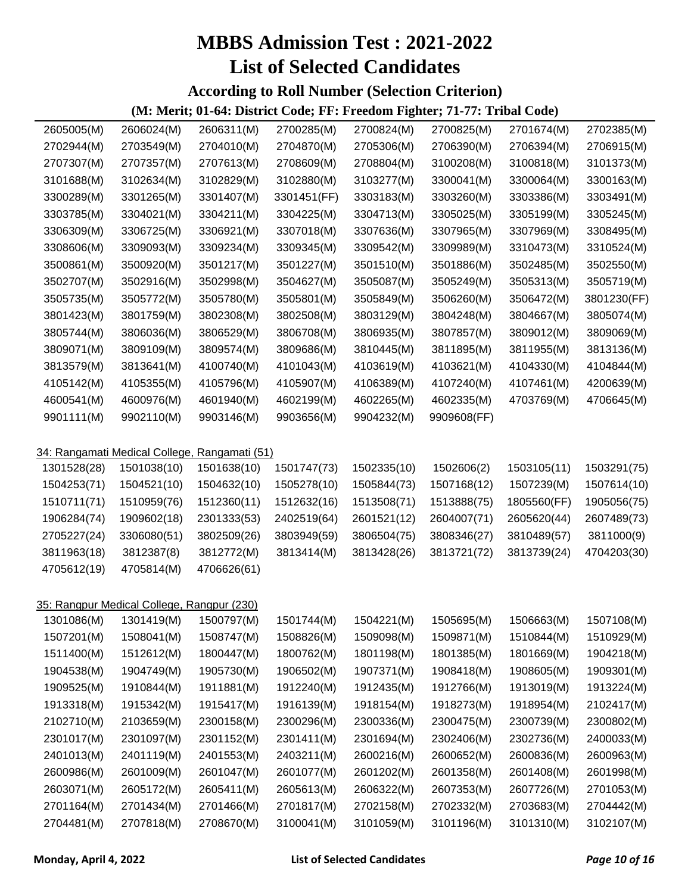**According to Roll Number (Selection Criterion)**

| 2605005(M)  | 2606024(M)                                    | 2606311(M)  | 2700285(M)  | 2700824(M)  | 2700825(M)  | 2701674(M)  | 2702385(M)  |
|-------------|-----------------------------------------------|-------------|-------------|-------------|-------------|-------------|-------------|
| 2702944(M)  | 2703549(M)                                    | 2704010(M)  | 2704870(M)  | 2705306(M)  | 2706390(M)  | 2706394(M)  | 2706915(M)  |
| 2707307(M)  | 2707357(M)                                    | 2707613(M)  | 2708609(M)  | 2708804(M)  | 3100208(M)  | 3100818(M)  | 3101373(M)  |
| 3101688(M)  | 3102634(M)                                    | 3102829(M)  | 3102880(M)  | 3103277(M)  | 3300041(M)  | 3300064(M)  | 3300163(M)  |
| 3300289(M)  | 3301265(M)                                    | 3301407(M)  | 3301451(FF) | 3303183(M)  | 3303260(M)  | 3303386(M)  | 3303491(M)  |
| 3303785(M)  | 3304021(M)                                    | 3304211(M)  | 3304225(M)  | 3304713(M)  | 3305025(M)  | 3305199(M)  | 3305245(M)  |
| 3306309(M)  | 3306725(M)                                    | 3306921(M)  | 3307018(M)  | 3307636(M)  | 3307965(M)  | 3307969(M)  | 3308495(M)  |
| 3308606(M)  | 3309093(M)                                    | 3309234(M)  | 3309345(M)  | 3309542(M)  | 3309989(M)  | 3310473(M)  | 3310524(M)  |
| 3500861(M)  | 3500920(M)                                    | 3501217(M)  | 3501227(M)  | 3501510(M)  | 3501886(M)  | 3502485(M)  | 3502550(M)  |
| 3502707(M)  | 3502916(M)                                    | 3502998(M)  | 3504627(M)  | 3505087(M)  | 3505249(M)  | 3505313(M)  | 3505719(M)  |
| 3505735(M)  | 3505772(M)                                    | 3505780(M)  | 3505801(M)  | 3505849(M)  | 3506260(M)  | 3506472(M)  | 3801230(FF) |
| 3801423(M)  | 3801759(M)                                    | 3802308(M)  | 3802508(M)  | 3803129(M)  | 3804248(M)  | 3804667(M)  | 3805074(M)  |
| 3805744(M)  | 3806036(M)                                    | 3806529(M)  | 3806708(M)  | 3806935(M)  | 3807857(M)  | 3809012(M)  | 3809069(M)  |
| 3809071(M)  | 3809109(M)                                    | 3809574(M)  | 3809686(M)  | 3810445(M)  | 3811895(M)  | 3811955(M)  | 3813136(M)  |
| 3813579(M)  | 3813641(M)                                    | 4100740(M)  | 4101043(M)  | 4103619(M)  | 4103621(M)  | 4104330(M)  | 4104844(M)  |
| 4105142(M)  | 4105355(M)                                    | 4105796(M)  | 4105907(M)  | 4106389(M)  | 4107240(M)  | 4107461(M)  | 4200639(M)  |
| 4600541(M)  | 4600976(M)                                    | 4601940(M)  | 4602199(M)  | 4602265(M)  | 4602335(M)  | 4703769(M)  | 4706645(M)  |
| 9901111(M)  | 9902110(M)                                    | 9903146(M)  | 9903656(M)  | 9904232(M)  | 9909608(FF) |             |             |
|             |                                               |             |             |             |             |             |             |
|             | 34: Rangamati Medical College, Rangamati (51) |             |             |             |             |             |             |
| 1301528(28) | 1501038(10)                                   | 1501638(10) | 1501747(73) | 1502335(10) | 1502606(2)  | 1503105(11) | 1503291(75) |
| 1504253(71) | 1504521(10)                                   | 1504632(10) | 1505278(10) | 1505844(73) | 1507168(12) | 1507239(M)  | 1507614(10) |
| 1510711(71) | 1510959(76)                                   | 1512360(11) | 1512632(16) | 1513508(71) | 1513888(75) | 1805560(FF) | 1905056(75) |
| 1906284(74) | 1909602(18)                                   | 2301333(53) | 2402519(64) | 2601521(12) | 2604007(71) | 2605620(44) | 2607489(73) |
| 2705227(24) | 3306080(51)                                   | 3802509(26) | 3803949(59) | 3806504(75) | 3808346(27) | 3810489(57) | 3811000(9)  |
| 3811963(18) | 3812387(8)                                    | 3812772(M)  | 3813414(M)  | 3813428(26) | 3813721(72) | 3813739(24) | 4704203(30) |
| 4705612(19) | 4705814(M)                                    | 4706626(61) |             |             |             |             |             |
|             |                                               |             |             |             |             |             |             |
|             | 35: Rangpur Medical College, Rangpur (230)    |             |             |             |             |             |             |
| 1301086(M)  | 1301419(M)                                    | 1500797(M)  | 1501744(M)  | 1504221(M)  | 1505695(M)  | 1506663(M)  | 1507108(M)  |
| 1507201(M)  | 1508041(M)                                    | 1508747(M)  | 1508826(M)  | 1509098(M)  | 1509871(M)  | 1510844(M)  | 1510929(M)  |
| 1511400(M)  | 1512612(M)                                    | 1800447(M)  | 1800762(M)  | 1801198(M)  | 1801385(M)  | 1801669(M)  | 1904218(M)  |
| 1904538(M)  | 1904749(M)                                    | 1905730(M)  | 1906502(M)  | 1907371(M)  | 1908418(M)  | 1908605(M)  | 1909301(M)  |
| 1909525(M)  | 1910844(M)                                    | 1911881(M)  | 1912240(M)  | 1912435(M)  | 1912766(M)  | 1913019(M)  | 1913224(M)  |
| 1913318(M)  | 1915342(M)                                    | 1915417(M)  | 1916139(M)  | 1918154(M)  | 1918273(M)  | 1918954(M)  | 2102417(M)  |
| 2102710(M)  | 2103659(M)                                    | 2300158(M)  | 2300296(M)  | 2300336(M)  | 2300475(M)  | 2300739(M)  | 2300802(M)  |
| 2301017(M)  | 2301097(M)                                    | 2301152(M)  | 2301411(M)  | 2301694(M)  | 2302406(M)  | 2302736(M)  | 2400033(M)  |
| 2401013(M)  | 2401119(M)                                    | 2401553(M)  | 2403211(M)  | 2600216(M)  | 2600652(M)  | 2600836(M)  | 2600963(M)  |
| 2600986(M)  | 2601009(M)                                    | 2601047(M)  | 2601077(M)  | 2601202(M)  | 2601358(M)  | 2601408(M)  | 2601998(M)  |
| 2603071(M)  | 2605172(M)                                    | 2605411(M)  | 2605613(M)  | 2606322(M)  | 2607353(M)  | 2607726(M)  | 2701053(M)  |
| 2701164(M)  | 2701434(M)                                    | 2701466(M)  | 2701817(M)  | 2702158(M)  | 2702332(M)  | 2703683(M)  | 2704442(M)  |
| 2704481(M)  | 2707818(M)                                    | 2708670(M)  | 3100041(M)  | 3101059(M)  | 3101196(M)  | 3101310(M)  | 3102107(M)  |
|             |                                               |             |             |             |             |             |             |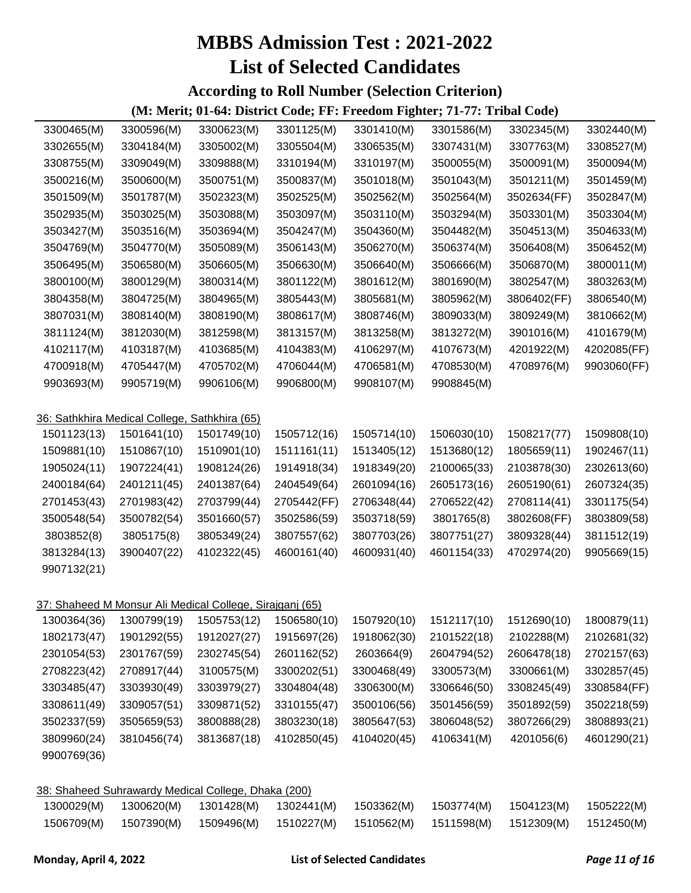#### **According to Roll Number (Selection Criterion)**

| 3300465(M)  | 3300596(M)                                    | 3300623(M)                                               | 3301125(M)  | 3301410(M)  | 3301586(M)  | 3302345(M)  | 3302440(M)  |
|-------------|-----------------------------------------------|----------------------------------------------------------|-------------|-------------|-------------|-------------|-------------|
| 3302655(M)  | 3304184(M)                                    | 3305002(M)                                               | 3305504(M)  | 3306535(M)  | 3307431(M)  | 3307763(M)  | 3308527(M)  |
| 3308755(M)  | 3309049(M)                                    | 3309888(M)                                               | 3310194(M)  | 3310197(M)  | 3500055(M)  | 3500091(M)  | 3500094(M)  |
| 3500216(M)  | 3500600(M)                                    | 3500751(M)                                               | 3500837(M)  | 3501018(M)  | 3501043(M)  | 3501211(M)  | 3501459(M)  |
| 3501509(M)  | 3501787(M)                                    | 3502323(M)                                               | 3502525(M)  | 3502562(M)  | 3502564(M)  | 3502634(FF) | 3502847(M)  |
| 3502935(M)  | 3503025(M)                                    | 3503088(M)                                               | 3503097(M)  | 3503110(M)  | 3503294(M)  | 3503301(M)  | 3503304(M)  |
| 3503427(M)  | 3503516(M)                                    | 3503694(M)                                               | 3504247(M)  | 3504360(M)  | 3504482(M)  | 3504513(M)  | 3504633(M)  |
| 3504769(M)  | 3504770(M)                                    | 3505089(M)                                               | 3506143(M)  | 3506270(M)  | 3506374(M)  | 3506408(M)  | 3506452(M)  |
| 3506495(M)  | 3506580(M)                                    | 3506605(M)                                               | 3506630(M)  | 3506640(M)  | 3506666(M)  | 3506870(M)  | 3800011(M)  |
| 3800100(M)  | 3800129(M)                                    | 3800314(M)                                               | 3801122(M)  | 3801612(M)  | 3801690(M)  | 3802547(M)  | 3803263(M)  |
| 3804358(M)  | 3804725(M)                                    | 3804965(M)                                               | 3805443(M)  | 3805681(M)  | 3805962(M)  | 3806402(FF) | 3806540(M)  |
| 3807031(M)  | 3808140(M)                                    | 3808190(M)                                               | 3808617(M)  | 3808746(M)  | 3809033(M)  | 3809249(M)  | 3810662(M)  |
| 3811124(M)  | 3812030(M)                                    | 3812598(M)                                               | 3813157(M)  | 3813258(M)  | 3813272(M)  | 3901016(M)  | 4101679(M)  |
| 4102117(M)  | 4103187(M)                                    | 4103685(M)                                               | 4104383(M)  | 4106297(M)  | 4107673(M)  | 4201922(M)  | 4202085(FF) |
| 4700918(M)  | 4705447(M)                                    | 4705702(M)                                               | 4706044(M)  | 4706581(M)  | 4708530(M)  | 4708976(M)  | 9903060(FF) |
| 9903693(M)  | 9905719(M)                                    | 9906106(M)                                               | 9906800(M)  | 9908107(M)  | 9908845(M)  |             |             |
|             |                                               |                                                          |             |             |             |             |             |
|             | 36: Sathkhira Medical College, Sathkhira (65) |                                                          |             |             |             |             |             |
| 1501123(13) | 1501641(10)                                   | 1501749(10)                                              | 1505712(16) | 1505714(10) | 1506030(10) | 1508217(77) | 1509808(10) |
| 1509881(10) | 1510867(10)                                   | 1510901(10)                                              | 1511161(11) | 1513405(12) | 1513680(12) | 1805659(11) | 1902467(11) |
| 1905024(11) | 1907224(41)                                   | 1908124(26)                                              | 1914918(34) | 1918349(20) | 2100065(33) | 2103878(30) | 2302613(60) |
| 2400184(64) | 2401211(45)                                   | 2401387(64)                                              | 2404549(64) | 2601094(16) | 2605173(16) | 2605190(61) | 2607324(35) |
| 2701453(43) | 2701983(42)                                   | 2703799(44)                                              | 2705442(FF) | 2706348(44) | 2706522(42) | 2708114(41) | 3301175(54) |
| 3500548(54) | 3500782(54)                                   | 3501660(57)                                              | 3502586(59) | 3503718(59) | 3801765(8)  | 3802608(FF) | 3803809(58) |
| 3803852(8)  | 3805175(8)                                    | 3805349(24)                                              | 3807557(62) | 3807703(26) | 3807751(27) | 3809328(44) | 3811512(19) |
| 3813284(13) | 3900407(22)                                   | 4102322(45)                                              | 4600161(40) | 4600931(40) | 4601154(33) | 4702974(20) | 9905669(15) |
| 9907132(21) |                                               |                                                          |             |             |             |             |             |
|             |                                               |                                                          |             |             |             |             |             |
|             |                                               | 37: Shaheed M Monsur Ali Medical College, Sirajganj (65) |             |             |             |             |             |
| 1300364(36) | 1300799(19)                                   | 1505753(12)                                              | 1506580(10) | 1507920(10) | 1512117(10) | 1512690(10) | 1800879(11) |
| 1802173(47) | 1901292(55)                                   | 1912027(27)                                              | 1915697(26) | 1918062(30) | 2101522(18) | 2102288(M)  | 2102681(32) |
| 2301054(53) | 2301767(59)                                   | 2302745(54)                                              | 2601162(52) | 2603664(9)  | 2604794(52) | 2606478(18) | 2702157(63) |
| 2708223(42) | 2708917(44)                                   | 3100575(M)                                               | 3300202(51) | 3300468(49) | 3300573(M)  | 3300661(M)  | 3302857(45) |
| 3303485(47) | 3303930(49)                                   | 3303979(27)                                              | 3304804(48) | 3306300(M)  | 3306646(50) | 3308245(49) | 3308584(FF) |
| 3308611(49) | 3309057(51)                                   | 3309871(52)                                              | 3310155(47) | 3500106(56) | 3501456(59) | 3501892(59) | 3502218(59) |
| 3502337(59) | 3505659(53)                                   | 3800888(28)                                              | 3803230(18) | 3805647(53) | 3806048(52) | 3807266(29) | 3808893(21) |
| 3809960(24) | 3810456(74)                                   | 3813687(18)                                              | 4102850(45) | 4104020(45) | 4106341(M)  | 4201056(6)  | 4601290(21) |
| 9900769(36) |                                               |                                                          |             |             |             |             |             |
|             |                                               |                                                          |             |             |             |             |             |
|             |                                               | 38: Shaheed Suhrawardy Medical College, Dhaka (200)      |             |             |             |             |             |
| 1300029(M)  | 1300620(M)                                    | 1301428(M)                                               | 1302441(M)  | 1503362(M)  | 1503774(M)  | 1504123(M)  | 1505222(M)  |
| 1506709(M)  | 1507390(M)                                    | 1509496(M)                                               | 1510227(M)  | 1510562(M)  | 1511598(M)  | 1512309(M)  | 1512450(M)  |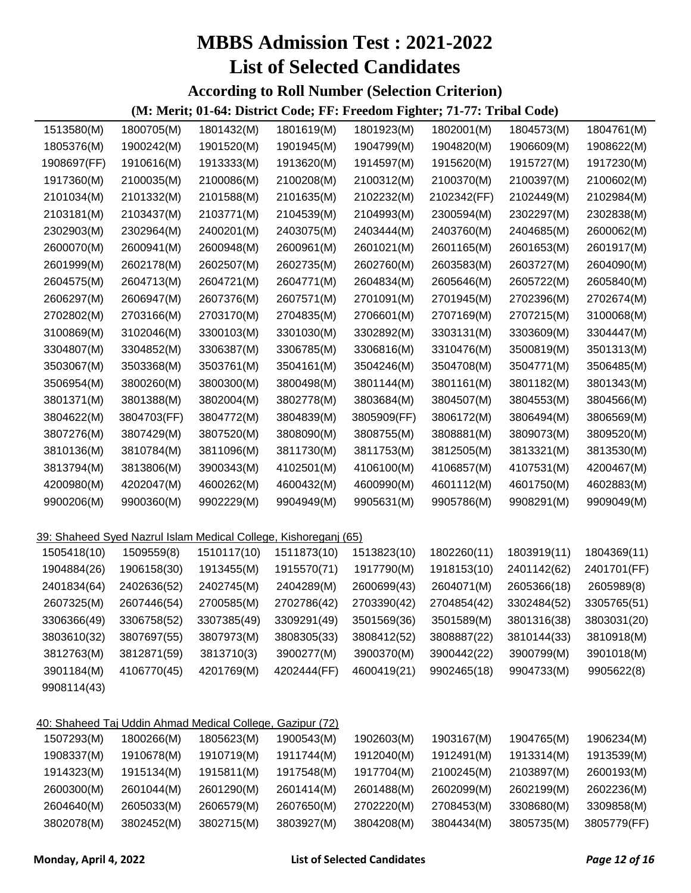**According to Roll Number (Selection Criterion)**

| 1513580(M)  | 1800705(M)                                                      | 1801432(M)  | 1801619(M)  | 1801923(M)  | 1802001(M)  | 1804573(M)  | 1804761(M)  |
|-------------|-----------------------------------------------------------------|-------------|-------------|-------------|-------------|-------------|-------------|
| 1805376(M)  | 1900242(M)                                                      | 1901520(M)  | 1901945(M)  | 1904799(M)  | 1904820(M)  | 1906609(M)  | 1908622(M)  |
| 1908697(FF) | 1910616(M)                                                      | 1913333(M)  | 1913620(M)  | 1914597(M)  | 1915620(M)  | 1915727(M)  | 1917230(M)  |
| 1917360(M)  | 2100035(M)                                                      | 2100086(M)  | 2100208(M)  | 2100312(M)  | 2100370(M)  | 2100397(M)  | 2100602(M)  |
| 2101034(M)  | 2101332(M)                                                      | 2101588(M)  | 2101635(M)  | 2102232(M)  | 2102342(FF) | 2102449(M)  | 2102984(M)  |
| 2103181(M)  | 2103437(M)                                                      | 2103771(M)  | 2104539(M)  | 2104993(M)  | 2300594(M)  | 2302297(M)  | 2302838(M)  |
| 2302903(M)  | 2302964(M)                                                      | 2400201(M)  | 2403075(M)  | 2403444(M)  | 2403760(M)  | 2404685(M)  | 2600062(M)  |
| 2600070(M)  | 2600941(M)                                                      | 2600948(M)  | 2600961(M)  | 2601021(M)  | 2601165(M)  | 2601653(M)  | 2601917(M)  |
| 2601999(M)  | 2602178(M)                                                      | 2602507(M)  | 2602735(M)  | 2602760(M)  | 2603583(M)  | 2603727(M)  | 2604090(M)  |
| 2604575(M)  | 2604713(M)                                                      | 2604721(M)  | 2604771(M)  | 2604834(M)  | 2605646(M)  | 2605722(M)  | 2605840(M)  |
| 2606297(M)  | 2606947(M)                                                      | 2607376(M)  | 2607571(M)  | 2701091(M)  | 2701945(M)  | 2702396(M)  | 2702674(M)  |
| 2702802(M)  | 2703166(M)                                                      | 2703170(M)  | 2704835(M)  | 2706601(M)  | 2707169(M)  | 2707215(M)  | 3100068(M)  |
| 3100869(M)  | 3102046(M)                                                      | 3300103(M)  | 3301030(M)  | 3302892(M)  | 3303131(M)  | 3303609(M)  | 3304447(M)  |
| 3304807(M)  | 3304852(M)                                                      | 3306387(M)  | 3306785(M)  | 3306816(M)  | 3310476(M)  | 3500819(M)  | 3501313(M)  |
| 3503067(M)  | 3503368(M)                                                      | 3503761(M)  | 3504161(M)  | 3504246(M)  | 3504708(M)  | 3504771(M)  | 3506485(M)  |
| 3506954(M)  | 3800260(M)                                                      | 3800300(M)  | 3800498(M)  | 3801144(M)  | 3801161(M)  | 3801182(M)  | 3801343(M)  |
| 3801371(M)  | 3801388(M)                                                      | 3802004(M)  | 3802778(M)  | 3803684(M)  | 3804507(M)  | 3804553(M)  | 3804566(M)  |
| 3804622(M)  | 3804703(FF)                                                     | 3804772(M)  | 3804839(M)  | 3805909(FF) | 3806172(M)  | 3806494(M)  | 3806569(M)  |
| 3807276(M)  | 3807429(M)                                                      | 3807520(M)  | 3808090(M)  | 3808755(M)  | 3808881(M)  | 3809073(M)  | 3809520(M)  |
| 3810136(M)  | 3810784(M)                                                      | 3811096(M)  | 3811730(M)  | 3811753(M)  | 3812505(M)  | 3813321(M)  | 3813530(M)  |
| 3813794(M)  | 3813806(M)                                                      | 3900343(M)  | 4102501(M)  | 4106100(M)  | 4106857(M)  | 4107531(M)  | 4200467(M)  |
| 4200980(M)  | 4202047(M)                                                      | 4600262(M)  | 4600432(M)  | 4600990(M)  | 4601112(M)  | 4601750(M)  | 4602883(M)  |
| 9900206(M)  | 9900360(M)                                                      | 9902229(M)  | 9904949(M)  | 9905631(M)  | 9905786(M)  | 9908291(M)  | 9909049(M)  |
|             |                                                                 |             |             |             |             |             |             |
|             | 39: Shaheed Syed Nazrul Islam Medical College, Kishoreganj (65) |             |             |             |             |             |             |
| 1505418(10) | 1509559(8)                                                      | 1510117(10) | 1511873(10) | 1513823(10) | 1802260(11) | 1803919(11) | 1804369(11) |
| 1904884(26) | 1906158(30)                                                     | 1913455(M)  | 1915570(71) | 1917790(M)  | 1918153(10) | 2401142(62) | 2401701(FF) |
| 2401834(64) | 2402636(52)                                                     | 2402745(M)  | 2404289(M)  | 2600699(43) | 2604071(M)  | 2605366(18) | 2605989(8)  |
| 2607325(M)  | 2607446(54)                                                     | 2700585(M)  | 2702786(42) | 2703390(42) | 2704854(42) | 3302484(52) | 3305765(51) |
| 3306366(49) | 3306758(52)                                                     | 3307385(49) | 3309291(49) | 3501569(36) | 3501589(M)  | 3801316(38) | 3803031(20) |
| 3803610(32) | 3807697(55)                                                     | 3807973(M)  | 3808305(33) | 3808412(52) | 3808887(22) | 3810144(33) | 3810918(M)  |
| 3812763(M)  | 3812871(59)                                                     | 3813710(3)  | 3900277(M)  | 3900370(M)  | 3900442(22) | 3900799(M)  | 3901018(M)  |
| 3901184(M)  | 4106770(45)                                                     | 4201769(M)  | 4202444(FF) | 4600419(21) | 9902465(18) | 9904733(M)  | 9905622(8)  |
| 9908114(43) |                                                                 |             |             |             |             |             |             |
|             |                                                                 |             |             |             |             |             |             |
|             | 40: Shaheed Taj Uddin Ahmad Medical College, Gazipur (72)       |             |             |             |             |             |             |
| 1507293(M)  | 1800266(M)                                                      | 1805623(M)  | 1900543(M)  | 1902603(M)  | 1903167(M)  | 1904765(M)  | 1906234(M)  |
| 1908337(M)  | 1910678(M)                                                      | 1910719(M)  | 1911744(M)  | 1912040(M)  | 1912491(M)  | 1913314(M)  | 1913539(M)  |
| 1914323(M)  | 1915134(M)                                                      | 1915811(M)  | 1917548(M)  | 1917704(M)  | 2100245(M)  | 2103897(M)  | 2600193(M)  |
| 2600300(M)  | 2601044(M)                                                      | 2601290(M)  | 2601414(M)  | 2601488(M)  | 2602099(M)  | 2602199(M)  | 2602236(M)  |
| 2604640(M)  | 2605033(M)                                                      | 2606579(M)  | 2607650(M)  | 2702220(M)  | 2708453(M)  | 3308680(M)  | 3309858(M)  |
| 3802078(M)  | 3802452(M)                                                      | 3802715(M)  | 3803927(M)  | 3804208(M)  | 3804434(M)  | 3805735(M)  | 3805779(FF) |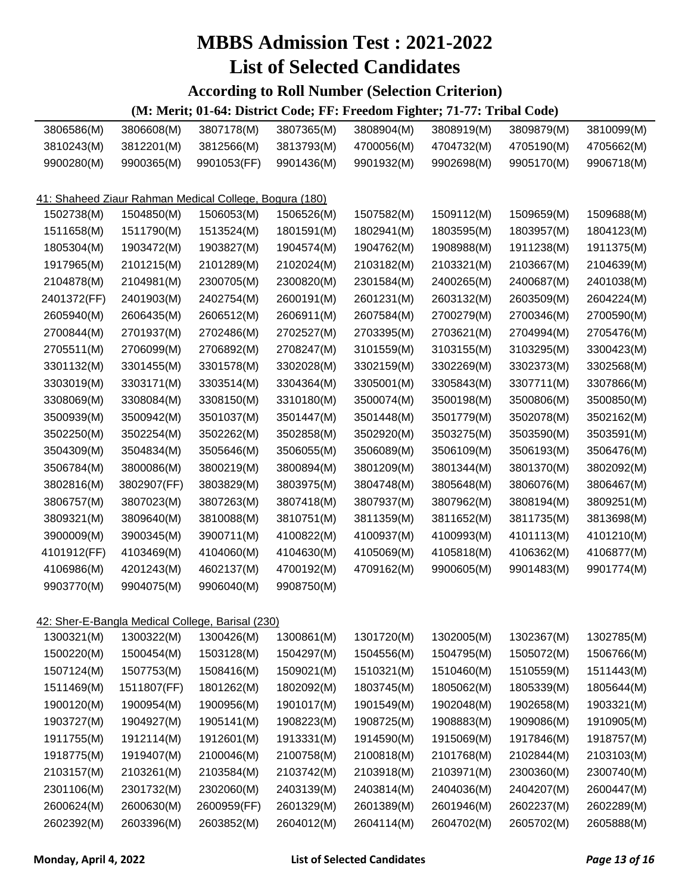#### **According to Roll Number (Selection Criterion)**

| 3806586(M)                                             | 3806608(M)  | 3807178(M)                                       | 3807365(M) | 3808904(M) | 3808919(M) | 3809879(M) | 3810099(M) |  |  |  |
|--------------------------------------------------------|-------------|--------------------------------------------------|------------|------------|------------|------------|------------|--|--|--|
| 3810243(M)                                             | 3812201(M)  | 3812566(M)                                       | 3813793(M) | 4700056(M) | 4704732(M) | 4705190(M) | 4705662(M) |  |  |  |
| 9900280(M)                                             | 9900365(M)  | 9901053(FF)                                      | 9901436(M) | 9901932(M) | 9902698(M) | 9905170(M) | 9906718(M) |  |  |  |
|                                                        |             |                                                  |            |            |            |            |            |  |  |  |
| 41: Shaheed Ziaur Rahman Medical College, Bogura (180) |             |                                                  |            |            |            |            |            |  |  |  |
| 1502738(M)                                             | 1504850(M)  | 1506053(M)                                       | 1506526(M) | 1507582(M) | 1509112(M) | 1509659(M) | 1509688(M) |  |  |  |
| 1511658(M)                                             | 1511790(M)  | 1513524(M)                                       | 1801591(M) | 1802941(M) | 1803595(M) | 1803957(M) | 1804123(M) |  |  |  |
| 1805304(M)                                             | 1903472(M)  | 1903827(M)                                       | 1904574(M) | 1904762(M) | 1908988(M) | 1911238(M) | 1911375(M) |  |  |  |
| 1917965(M)                                             | 2101215(M)  | 2101289(M)                                       | 2102024(M) | 2103182(M) | 2103321(M) | 2103667(M) | 2104639(M) |  |  |  |
| 2104878(M)                                             | 2104981(M)  | 2300705(M)                                       | 2300820(M) | 2301584(M) | 2400265(M) | 2400687(M) | 2401038(M) |  |  |  |
| 2401372(FF)                                            | 2401903(M)  | 2402754(M)                                       | 2600191(M) | 2601231(M) | 2603132(M) | 2603509(M) | 2604224(M) |  |  |  |
| 2605940(M)                                             | 2606435(M)  | 2606512(M)                                       | 2606911(M) | 2607584(M) | 2700279(M) | 2700346(M) | 2700590(M) |  |  |  |
| 2700844(M)                                             | 2701937(M)  | 2702486(M)                                       | 2702527(M) | 2703395(M) | 2703621(M) | 2704994(M) | 2705476(M) |  |  |  |
| 2705511(M)                                             | 2706099(M)  | 2706892(M)                                       | 2708247(M) | 3101559(M) | 3103155(M) | 3103295(M) | 3300423(M) |  |  |  |
| 3301132(M)                                             | 3301455(M)  | 3301578(M)                                       | 3302028(M) | 3302159(M) | 3302269(M) | 3302373(M) | 3302568(M) |  |  |  |
| 3303019(M)                                             | 3303171(M)  | 3303514(M)                                       | 3304364(M) | 3305001(M) | 3305843(M) | 3307711(M) | 3307866(M) |  |  |  |
| 3308069(M)                                             | 3308084(M)  | 3308150(M)                                       | 3310180(M) | 3500074(M) | 3500198(M) | 3500806(M) | 3500850(M) |  |  |  |
| 3500939(M)                                             | 3500942(M)  | 3501037(M)                                       | 3501447(M) | 3501448(M) | 3501779(M) | 3502078(M) | 3502162(M) |  |  |  |
| 3502250(M)                                             | 3502254(M)  | 3502262(M)                                       | 3502858(M) | 3502920(M) | 3503275(M) | 3503590(M) | 3503591(M) |  |  |  |
| 3504309(M)                                             | 3504834(M)  | 3505646(M)                                       | 3506055(M) | 3506089(M) | 3506109(M) | 3506193(M) | 3506476(M) |  |  |  |
| 3506784(M)                                             | 3800086(M)  | 3800219(M)                                       | 3800894(M) | 3801209(M) | 3801344(M) | 3801370(M) | 3802092(M) |  |  |  |
| 3802816(M)                                             | 3802907(FF) | 3803829(M)                                       | 3803975(M) | 3804748(M) | 3805648(M) | 3806076(M) | 3806467(M) |  |  |  |
| 3806757(M)                                             | 3807023(M)  | 3807263(M)                                       | 3807418(M) | 3807937(M) | 3807962(M) | 3808194(M) | 3809251(M) |  |  |  |
| 3809321(M)                                             | 3809640(M)  | 3810088(M)                                       | 3810751(M) | 3811359(M) | 3811652(M) | 3811735(M) | 3813698(M) |  |  |  |
| 3900009(M)                                             | 3900345(M)  | 3900711(M)                                       | 4100822(M) | 4100937(M) | 4100993(M) | 4101113(M) | 4101210(M) |  |  |  |
| 4101912(FF)                                            | 4103469(M)  | 4104060(M)                                       | 4104630(M) | 4105069(M) | 4105818(M) | 4106362(M) | 4106877(M) |  |  |  |
| 4106986(M)                                             | 4201243(M)  | 4602137(M)                                       | 4700192(M) | 4709162(M) | 9900605(M) | 9901483(M) | 9901774(M) |  |  |  |
| 9903770(M)                                             | 9904075(M)  | 9906040(M)                                       | 9908750(M) |            |            |            |            |  |  |  |
|                                                        |             |                                                  |            |            |            |            |            |  |  |  |
|                                                        |             | 42: Sher-E-Bangla Medical College, Barisal (230) |            |            |            |            |            |  |  |  |
| 1300321(M)                                             | 1300322(M)  | 1300426(M)                                       | 1300861(M) | 1301720(M) | 1302005(M) | 1302367(M) | 1302785(M) |  |  |  |
| 1500220(M)                                             | 1500454(M)  | 1503128(M)                                       | 1504297(M) | 1504556(M) | 1504795(M) | 1505072(M) | 1506766(M) |  |  |  |
| 1507124(M)                                             | 1507753(M)  | 1508416(M)                                       | 1509021(M) | 1510321(M) | 1510460(M) | 1510559(M) | 1511443(M) |  |  |  |
| 1511469(M)                                             | 1511807(FF) | 1801262(M)                                       | 1802092(M) | 1803745(M) | 1805062(M) | 1805339(M) | 1805644(M) |  |  |  |
| 1900120(M)                                             | 1900954(M)  | 1900956(M)                                       | 1901017(M) | 1901549(M) | 1902048(M) | 1902658(M) | 1903321(M) |  |  |  |
| 1903727(M)                                             | 1904927(M)  | 1905141(M)                                       | 1908223(M) | 1908725(M) | 1908883(M) | 1909086(M) | 1910905(M) |  |  |  |
| 1911755(M)                                             | 1912114(M)  | 1912601(M)                                       | 1913331(M) | 1914590(M) | 1915069(M) | 1917846(M) | 1918757(M) |  |  |  |
| 1918775(M)                                             | 1919407(M)  | 2100046(M)                                       | 2100758(M) | 2100818(M) | 2101768(M) | 2102844(M) | 2103103(M) |  |  |  |
| 2103157(M)                                             | 2103261(M)  | 2103584(M)                                       | 2103742(M) | 2103918(M) | 2103971(M) | 2300360(M) | 2300740(M) |  |  |  |
| 2301106(M)                                             | 2301732(M)  | 2302060(M)                                       | 2403139(M) | 2403814(M) | 2404036(M) | 2404207(M) | 2600447(M) |  |  |  |
| 2600624(M)                                             | 2600630(M)  | 2600959(FF)                                      | 2601329(M) | 2601389(M) | 2601946(M) | 2602237(M) | 2602289(M) |  |  |  |
| 2602392(M)                                             | 2603396(M)  | 2603852(M)                                       | 2604012(M) | 2604114(M) | 2604702(M) | 2605702(M) | 2605888(M) |  |  |  |
|                                                        |             |                                                  |            |            |            |            |            |  |  |  |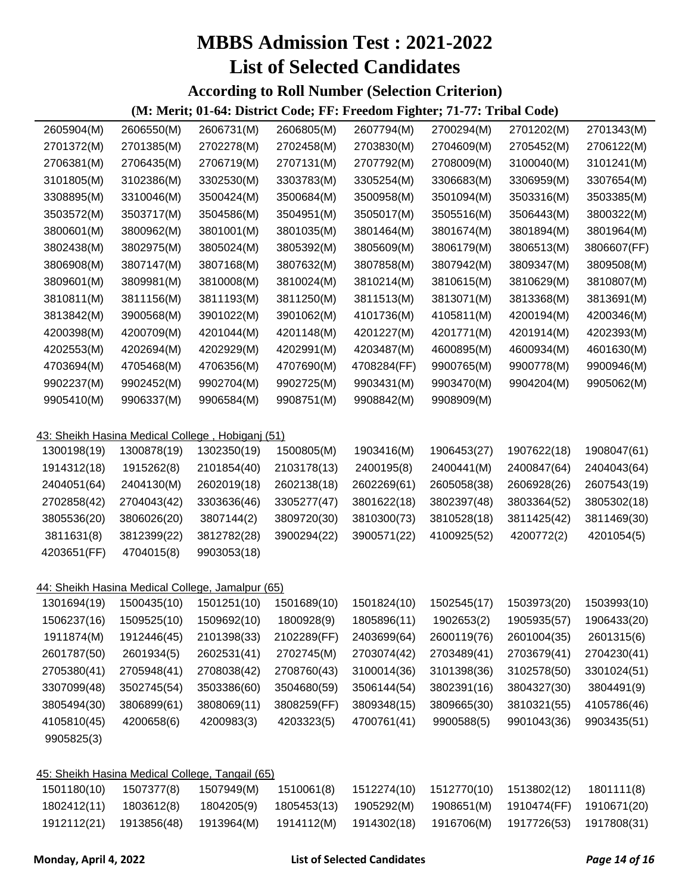#### **According to Roll Number (Selection Criterion)**

| 2605904(M)  | 2606550(M)                                       | 2606731(M)  | 2606805(M)  | 2607794(M)  | 2700294(M)  | 2701202(M)  | 2701343(M)  |
|-------------|--------------------------------------------------|-------------|-------------|-------------|-------------|-------------|-------------|
| 2701372(M)  | 2701385(M)                                       | 2702278(M)  | 2702458(M)  | 2703830(M)  | 2704609(M)  | 2705452(M)  | 2706122(M)  |
| 2706381(M)  | 2706435(M)                                       | 2706719(M)  | 2707131(M)  | 2707792(M)  | 2708009(M)  | 3100040(M)  | 3101241(M)  |
| 3101805(M)  | 3102386(M)                                       | 3302530(M)  | 3303783(M)  | 3305254(M)  | 3306683(M)  | 3306959(M)  | 3307654(M)  |
| 3308895(M)  | 3310046(M)                                       | 3500424(M)  | 3500684(M)  | 3500958(M)  | 3501094(M)  | 3503316(M)  | 3503385(M)  |
| 3503572(M)  | 3503717(M)                                       | 3504586(M)  | 3504951(M)  | 3505017(M)  | 3505516(M)  | 3506443(M)  | 3800322(M)  |
| 3800601(M)  | 3800962(M)                                       | 3801001(M)  | 3801035(M)  | 3801464(M)  | 3801674(M)  | 3801894(M)  | 3801964(M)  |
| 3802438(M)  | 3802975(M)                                       | 3805024(M)  | 3805392(M)  | 3805609(M)  | 3806179(M)  | 3806513(M)  | 3806607(FF) |
| 3806908(M)  | 3807147(M)                                       | 3807168(M)  | 3807632(M)  | 3807858(M)  | 3807942(M)  | 3809347(M)  | 3809508(M)  |
| 3809601(M)  | 3809981(M)                                       | 3810008(M)  | 3810024(M)  | 3810214(M)  | 3810615(M)  | 3810629(M)  | 3810807(M)  |
| 3810811(M)  | 3811156(M)                                       | 3811193(M)  | 3811250(M)  | 3811513(M)  | 3813071(M)  | 3813368(M)  | 3813691(M)  |
| 3813842(M)  | 3900568(M)                                       | 3901022(M)  | 3901062(M)  | 4101736(M)  | 4105811(M)  | 4200194(M)  | 4200346(M)  |
| 4200398(M)  | 4200709(M)                                       | 4201044(M)  | 4201148(M)  | 4201227(M)  | 4201771(M)  | 4201914(M)  | 4202393(M)  |
| 4202553(M)  | 4202694(M)                                       | 4202929(M)  | 4202991(M)  | 4203487(M)  | 4600895(M)  | 4600934(M)  | 4601630(M)  |
| 4703694(M)  | 4705468(M)                                       | 4706356(M)  | 4707690(M)  | 4708284(FF) | 9900765(M)  | 9900778(M)  | 9900946(M)  |
| 9902237(M)  | 9902452(M)                                       | 9902704(M)  | 9902725(M)  | 9903431(M)  | 9903470(M)  | 9904204(M)  | 9905062(M)  |
| 9905410(M)  | 9906337(M)                                       | 9906584(M)  | 9908751(M)  | 9908842(M)  | 9908909(M)  |             |             |
|             |                                                  |             |             |             |             |             |             |
|             | 43: Sheikh Hasina Medical College, Hobiganj (51) |             |             |             |             |             |             |
| 1300198(19) | 1300878(19)                                      | 1302350(19) | 1500805(M)  | 1903416(M)  | 1906453(27) | 1907622(18) | 1908047(61) |
| 1914312(18) | 1915262(8)                                       | 2101854(40) | 2103178(13) | 2400195(8)  | 2400441(M)  | 2400847(64) | 2404043(64) |
| 2404051(64) | 2404130(M)                                       | 2602019(18) | 2602138(18) | 2602269(61) | 2605058(38) | 2606928(26) | 2607543(19) |
| 2702858(42) | 2704043(42)                                      | 3303636(46) | 3305277(47) | 3801622(18) | 3802397(48) | 3803364(52) | 3805302(18) |
| 3805536(20) | 3806026(20)                                      | 3807144(2)  | 3809720(30) | 3810300(73) | 3810528(18) | 3811425(42) | 3811469(30) |
| 3811631(8)  | 3812399(22)                                      | 3812782(28) | 3900294(22) | 3900571(22) | 4100925(52) | 4200772(2)  | 4201054(5)  |
| 4203651(FF) | 4704015(8)                                       | 9903053(18) |             |             |             |             |             |
|             |                                                  |             |             |             |             |             |             |
|             | 44: Sheikh Hasina Medical College, Jamalpur (65) |             |             |             |             |             |             |
| 1301694(19) | 1500435(10)                                      | 1501251(10) | 1501689(10) | 1501824(10) | 1502545(17) | 1503973(20) | 1503993(10) |
| 1506237(16) | 1509525(10)                                      | 1509692(10) | 1800928(9)  | 1805896(11) | 1902653(2)  | 1905935(57) | 1906433(20) |
| 1911874(M)  | 1912446(45)                                      | 2101398(33) | 2102289(FF) | 2403699(64) | 2600119(76) | 2601004(35) | 2601315(6)  |
| 2601787(50) | 2601934(5)                                       | 2602531(41) | 2702745(M)  | 2703074(42) | 2703489(41) | 2703679(41) | 2704230(41) |
| 2705380(41) | 2705948(41)                                      | 2708038(42) | 2708760(43) | 3100014(36) | 3101398(36) | 3102578(50) | 3301024(51) |
| 3307099(48) | 3502745(54)                                      | 3503386(60) | 3504680(59) | 3506144(54) | 3802391(16) | 3804327(30) | 3804491(9)  |
| 3805494(30) | 3806899(61)                                      | 3808069(11) | 3808259(FF) | 3809348(15) | 3809665(30) | 3810321(55) | 4105786(46) |
| 4105810(45) | 4200658(6)                                       | 4200983(3)  | 4203323(5)  | 4700761(41) | 9900588(5)  | 9901043(36) | 9903435(51) |
| 9905825(3)  |                                                  |             |             |             |             |             |             |
|             |                                                  |             |             |             |             |             |             |
|             | 45: Sheikh Hasina Medical College, Tangail (65)  |             |             |             |             |             |             |
| 1501180(10) | 1507377(8)                                       | 1507949(M)  | 1510061(8)  | 1512274(10) | 1512770(10) | 1513802(12) | 1801111(8)  |
| 1802412(11) | 1803612(8)                                       | 1804205(9)  | 1805453(13) | 1905292(M)  | 1908651(M)  | 1910474(FF) | 1910671(20) |
| 1912112(21) | 1913856(48)                                      | 1913964(M)  | 1914112(M)  | 1914302(18) | 1916706(M)  | 1917726(53) | 1917808(31) |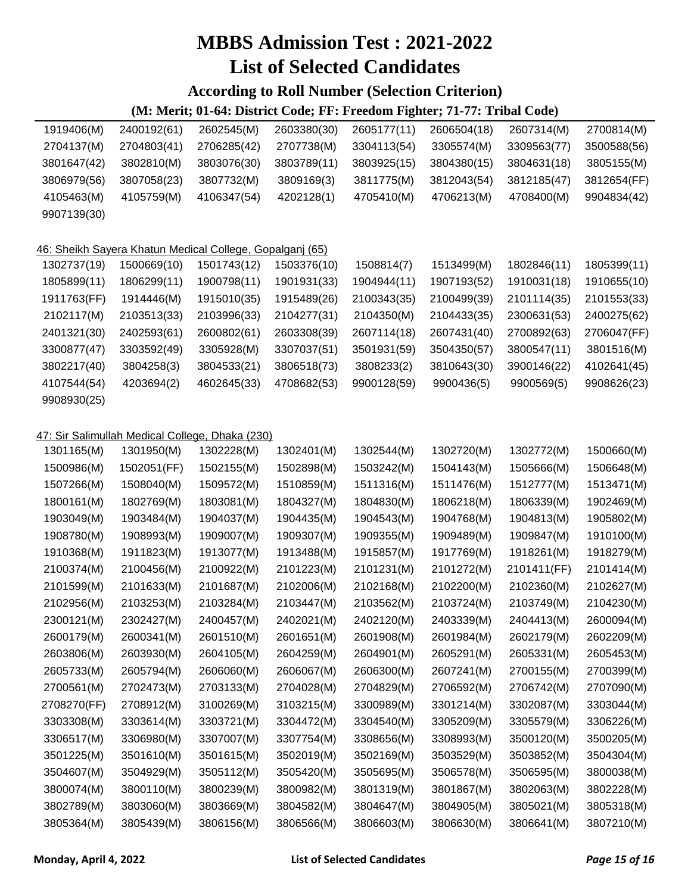#### **According to Roll Number (Selection Criterion)**

| 2400192(61)                                              | 2602545(M)  | 2603380(30) | 2605177(11)                                     | 2606504(18) | 2607314(M)  | 2700814(M)  |  |  |  |  |
|----------------------------------------------------------|-------------|-------------|-------------------------------------------------|-------------|-------------|-------------|--|--|--|--|
| 2704803(41)                                              | 2706285(42) | 2707738(M)  | 3304113(54)                                     | 3305574(M)  | 3309563(77) | 3500588(56) |  |  |  |  |
| 3802810(M)                                               | 3803076(30) | 3803789(11) | 3803925(15)                                     | 3804380(15) | 3804631(18) | 3805155(M)  |  |  |  |  |
| 3807058(23)                                              | 3807732(M)  | 3809169(3)  | 3811775(M)                                      | 3812043(54) | 3812185(47) | 3812654(FF) |  |  |  |  |
| 4105759(M)                                               | 4106347(54) | 4202128(1)  | 4705410(M)                                      | 4706213(M)  | 4708400(M)  | 9904834(42) |  |  |  |  |
|                                                          |             |             |                                                 |             |             |             |  |  |  |  |
|                                                          |             |             |                                                 |             |             |             |  |  |  |  |
| 46: Sheikh Sayera Khatun Medical College, Gopalganj (65) |             |             |                                                 |             |             |             |  |  |  |  |
| 1500669(10)                                              | 1501743(12) | 1503376(10) | 1508814(7)                                      | 1513499(M)  | 1802846(11) | 1805399(11) |  |  |  |  |
| 1806299(11)                                              | 1900798(11) | 1901931(33) | 1904944(11)                                     | 1907193(52) | 1910031(18) | 1910655(10) |  |  |  |  |
| 1914446(M)                                               | 1915010(35) | 1915489(26) | 2100343(35)                                     | 2100499(39) | 2101114(35) | 2101553(33) |  |  |  |  |
| 2103513(33)                                              | 2103996(33) | 2104277(31) | 2104350(M)                                      | 2104433(35) | 2300631(53) | 2400275(62) |  |  |  |  |
| 2402593(61)                                              | 2600802(61) | 2603308(39) | 2607114(18)                                     | 2607431(40) | 2700892(63) | 2706047(FF) |  |  |  |  |
| 3303592(49)                                              | 3305928(M)  | 3307037(51) | 3501931(59)                                     | 3504350(57) | 3800547(11) | 3801516(M)  |  |  |  |  |
| 3804258(3)                                               | 3804533(21) | 3806518(73) | 3808233(2)                                      | 3810643(30) | 3900146(22) | 4102641(45) |  |  |  |  |
| 4203694(2)                                               | 4602645(33) | 4708682(53) | 9900128(59)                                     | 9900436(5)  | 9900569(5)  | 9908626(23) |  |  |  |  |
|                                                          |             |             |                                                 |             |             |             |  |  |  |  |
|                                                          |             |             |                                                 |             |             |             |  |  |  |  |
|                                                          |             |             |                                                 |             |             |             |  |  |  |  |
| 1301950(M)                                               | 1302228(M)  | 1302401(M)  | 1302544(M)                                      | 1302720(M)  | 1302772(M)  | 1500660(M)  |  |  |  |  |
| 1502051(FF)                                              | 1502155(M)  | 1502898(M)  | 1503242(M)                                      | 1504143(M)  | 1505666(M)  | 1506648(M)  |  |  |  |  |
| 1508040(M)                                               | 1509572(M)  | 1510859(M)  | 1511316(M)                                      | 1511476(M)  | 1512777(M)  | 1513471(M)  |  |  |  |  |
| 1802769(M)                                               | 1803081(M)  | 1804327(M)  | 1804830(M)                                      | 1806218(M)  | 1806339(M)  | 1902469(M)  |  |  |  |  |
| 1903484(M)                                               | 1904037(M)  | 1904435(M)  | 1904543(M)                                      | 1904768(M)  | 1904813(M)  | 1905802(M)  |  |  |  |  |
| 1908993(M)                                               | 1909007(M)  | 1909307(M)  | 1909355(M)                                      | 1909489(M)  | 1909847(M)  | 1910100(M)  |  |  |  |  |
| 1911823(M)                                               | 1913077(M)  | 1913488(M)  | 1915857(M)                                      | 1917769(M)  | 1918261(M)  | 1918279(M)  |  |  |  |  |
| 2100456(M)                                               | 2100922(M)  | 2101223(M)  | 2101231(M)                                      | 2101272(M)  | 2101411(FF) | 2101414(M)  |  |  |  |  |
| 2101633(M)                                               | 2101687(M)  | 2102006(M)  | 2102168(M)                                      | 2102200(M)  | 2102360(M)  | 2102627(M)  |  |  |  |  |
| 2103253(M)                                               | 2103284(M)  | 2103447(M)  | 2103562(M)                                      | 2103724(M)  | 2103749(M)  | 2104230(M)  |  |  |  |  |
| 2302427(M)                                               | 2400457(M)  | 2402021(M)  | 2402120(M)                                      | 2403339(M)  | 2404413(M)  | 2600094(M)  |  |  |  |  |
| 2600341(M)                                               | 2601510(M)  | 2601651(M)  | 2601908(M)                                      | 2601984(M)  | 2602179(M)  | 2602209(M)  |  |  |  |  |
| 2603930(M)                                               | 2604105(M)  | 2604259(M)  | 2604901(M)                                      | 2605291(M)  | 2605331(M)  | 2605453(M)  |  |  |  |  |
| 2605794(M)                                               | 2606060(M)  | 2606067(M)  | 2606300(M)                                      | 2607241(M)  | 2700155(M)  | 2700399(M)  |  |  |  |  |
| 2702473(M)                                               | 2703133(M)  | 2704028(M)  | 2704829(M)                                      | 2706592(M)  | 2706742(M)  | 2707090(M)  |  |  |  |  |
| 2708912(M)                                               | 3100269(M)  | 3103215(M)  | 3300989(M)                                      | 3301214(M)  | 3302087(M)  | 3303044(M)  |  |  |  |  |
| 3303614(M)                                               | 3303721(M)  | 3304472(M)  | 3304540(M)                                      | 3305209(M)  | 3305579(M)  | 3306226(M)  |  |  |  |  |
| 3306980(M)                                               | 3307007(M)  | 3307754(M)  | 3308656(M)                                      | 3308993(M)  | 3500120(M)  | 3500205(M)  |  |  |  |  |
| 3501610(M)                                               | 3501615(M)  | 3502019(M)  | 3502169(M)                                      | 3503529(M)  | 3503852(M)  | 3504304(M)  |  |  |  |  |
| 3504929(M)                                               | 3505112(M)  | 3505420(M)  | 3505695(M)                                      | 3506578(M)  | 3506595(M)  | 3800038(M)  |  |  |  |  |
| 3800110(M)                                               | 3800239(M)  | 3800982(M)  | 3801319(M)                                      | 3801867(M)  | 3802063(M)  | 3802228(M)  |  |  |  |  |
| 3803060(M)                                               | 3803669(M)  | 3804582(M)  | 3804647(M)                                      | 3804905(M)  | 3805021(M)  | 3805318(M)  |  |  |  |  |
| 3805439(M)                                               | 3806156(M)  | 3806566(M)  | 3806603(M)                                      | 3806630(M)  | 3806641(M)  | 3807210(M)  |  |  |  |  |
|                                                          |             |             | 47: Sir Salimullah Medical College, Dhaka (230) |             |             |             |  |  |  |  |